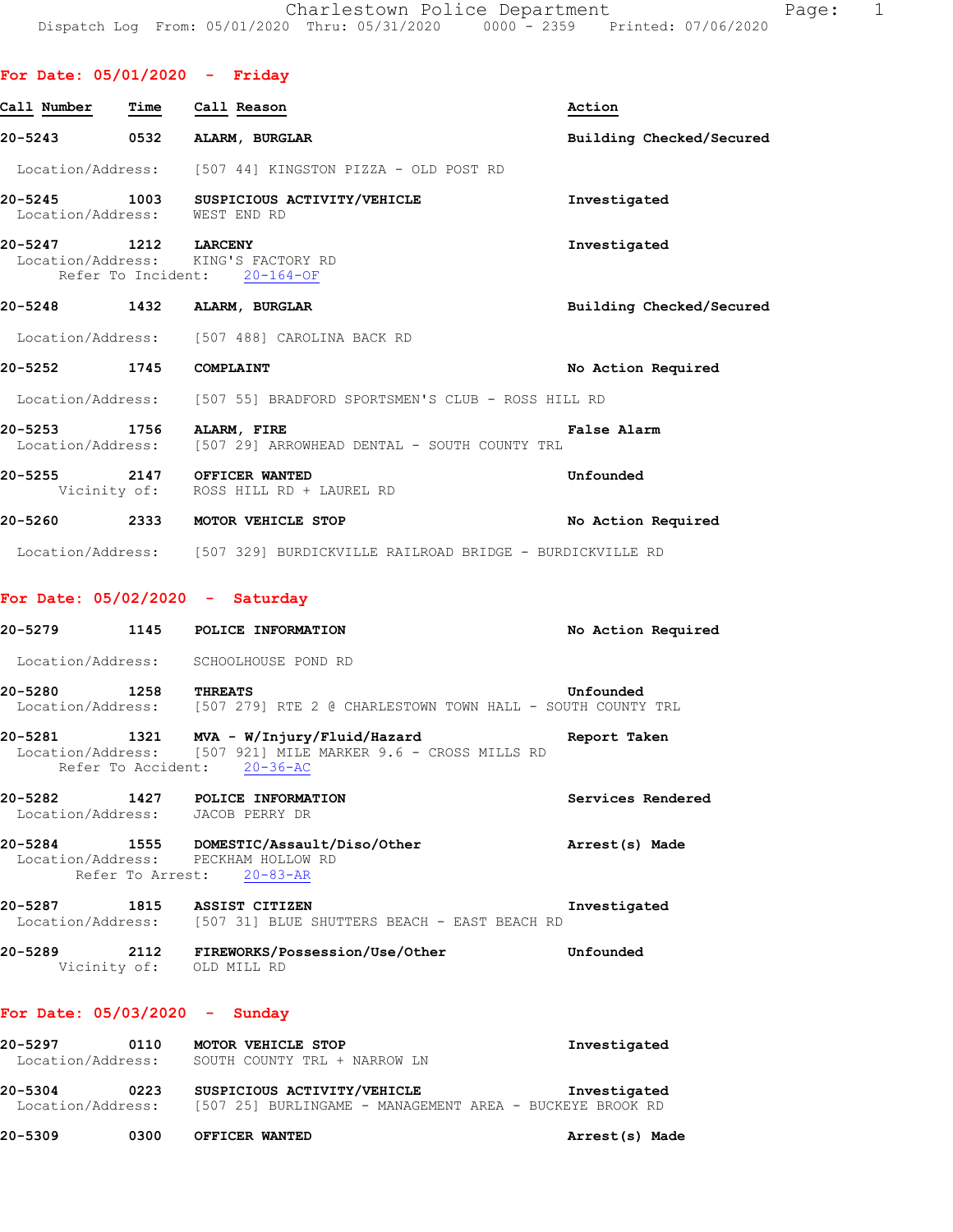# **For Date: 05/01/2020 - Friday**

| Call Number                     |      | Time Call Reason                                                                                                                          | Action                   |
|---------------------------------|------|-------------------------------------------------------------------------------------------------------------------------------------------|--------------------------|
|                                 |      | 20-5243 0532 ALARM, BURGLAR                                                                                                               | Building Checked/Secured |
|                                 |      | Location/Address: [507 44] KINGSTON PIZZA - OLD POST RD                                                                                   |                          |
| Location/Address: WEST END RD   |      | 20-5245 1003 SUSPICIOUS ACTIVITY/VEHICLE                                                                                                  | Investigated             |
| 20-5247 1212 LARCENY            |      | Location/Address: KING'S FACTORY RD<br>Refer To Incident: 20-164-OF                                                                       | Investigated             |
|                                 |      | 20-5248 1432 ALARM, BURGLAR                                                                                                               | Building Checked/Secured |
|                                 |      | Location/Address: [507 488] CAROLINA BACK RD                                                                                              |                          |
| 20-5252 1745 COMPLAINT          |      |                                                                                                                                           | No Action Required       |
|                                 |      | Location/Address: [507 55] BRADFORD SPORTSMEN'S CLUB - ROSS HILL RD                                                                       |                          |
| 20-5253 1756 ALARM, FIRE        |      | Location/Address: [507 29] ARROWHEAD DENTAL - SOUTH COUNTY TRL                                                                            | False Alarm              |
|                                 |      | 20-5255 2147 OFFICER WANTED<br>Vicinity of: ROSS HILL RD + LAUREL RD                                                                      | Unfounded                |
|                                 |      | 20-5260 2333 MOTOR VEHICLE STOP                                                                                                           | No Action Required       |
|                                 |      | Location/Address: [507 329] BURDICKVILLE RAILROAD BRIDGE - BURDICKVILLE RD                                                                |                          |
|                                 |      | For Date: $05/02/2020 -$ Saturday                                                                                                         |                          |
|                                 |      | 20-5279 1145 POLICE INFORMATION                                                                                                           | No Action Required       |
|                                 |      | Location/Address: SCHOOLHOUSE POND RD                                                                                                     |                          |
| 20-5280 1258 THREATS            |      | Location/Address: [507 279] RTE 2 @ CHARLESTOWN TOWN HALL - SOUTH COUNTY TRL                                                              | Unfounded                |
|                                 |      | $20-5281$ 1321 MVA - W/Injury/Fluid/Hazard<br>Location/Address: [507 921] MILE MARKER 9.6 - CROSS MILLS RD<br>Refer To Accident: 20-36-AC | Report Taken             |
| 20-5282                         |      | <b>1427 POLICE INFORMATION</b><br>Location/Address: JACOB PERRY DR                                                                        | Services Rendered        |
|                                 |      | 20-5284 1555 DOMESTIC/Assault/Diso/Other<br>Location/Address: PECKHAM HOLLOW RD<br>Refer To Arrest: 20-83-AR                              | Arrest(s) Made           |
|                                 |      | 20-5287 1815 ASSIST CITIZEN<br>Location/Address: [507 31] BLUE SHUTTERS BEACH - EAST BEACH RD                                             | Investigated             |
|                                 |      | 20-5289 2112 FIREWORKS/Possession/Use/Other<br>Vicinity of: OLD MILL RD                                                                   | Unfounded                |
| For Date: $05/03/2020 -$ Sunday |      |                                                                                                                                           |                          |
| 20-5297                         | 0110 | MOTOR VEHICLE STOP<br>Location/Address: SOUTH COUNTY TRL + NARROW LN                                                                      | Investigated             |

**20-5304 0223 SUSPICIOUS ACTIVITY/VEHICLE Investigated**  Location/Address: [507 25] BURLINGAME - MANAGEMENT AREA - BUCKEYE BROOK RD

**20-5309 0300 OFFICER WANTED Arrest(s) Made**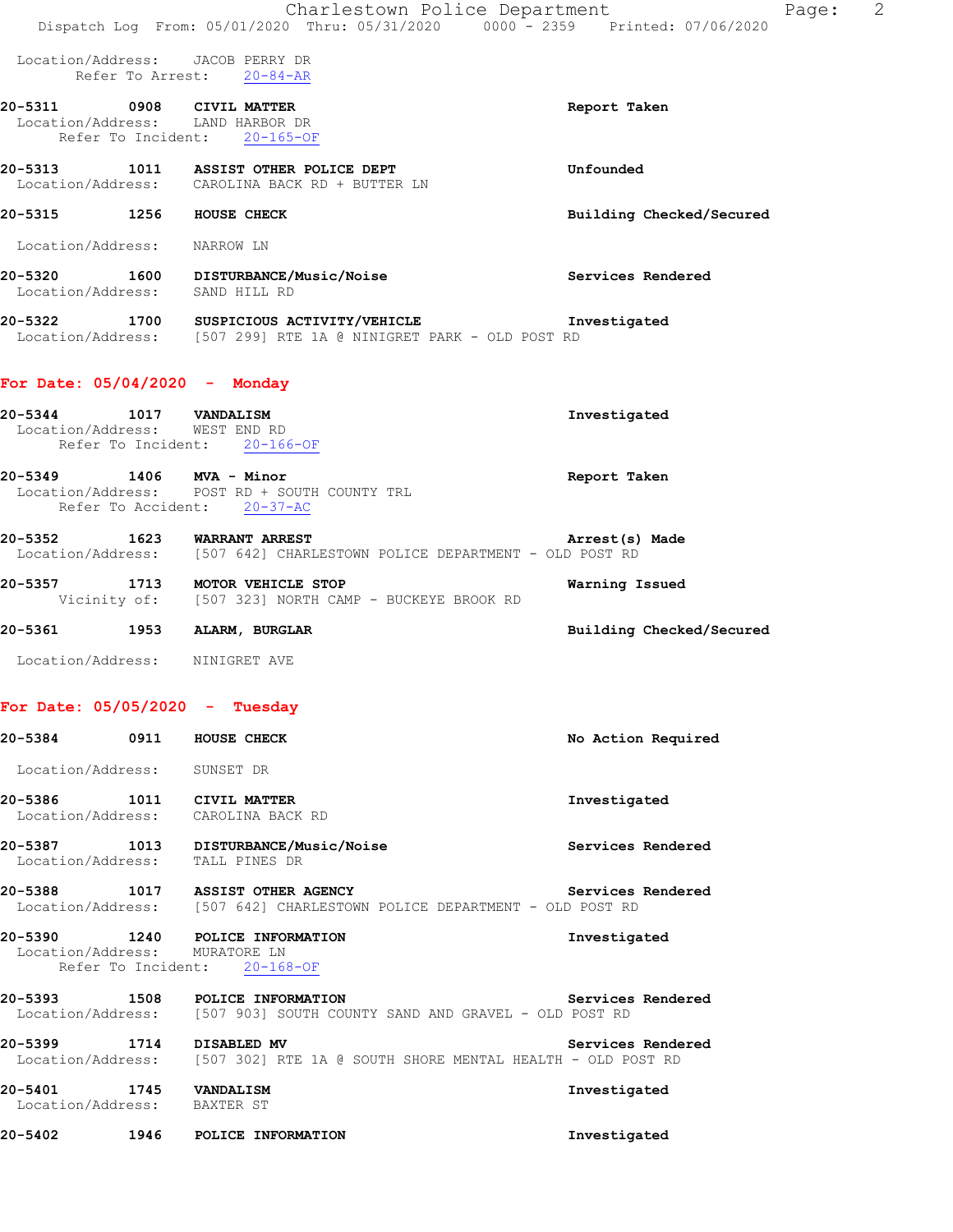|                                                         | Charlestown Police Department<br>Dispatch Log From: 05/01/2020 Thru: 05/31/2020 0000 - 2359 Printed: 07/06/2020           |                          | Page: | -2 |
|---------------------------------------------------------|---------------------------------------------------------------------------------------------------------------------------|--------------------------|-------|----|
|                                                         | Location/Address: JACOB PERRY DR<br>Refer To Arrest: 20-84-AR                                                             |                          |       |    |
|                                                         | 20-5311 0908 CIVIL MATTER<br>Location/Address: LAND HARBOR DR<br>Refer To Incident: 20-165-OF                             | Report Taken             |       |    |
|                                                         | 20-5313 1011 ASSIST OTHER POLICE DEPT<br>Location/Address: CAROLINA BACK RD + BUTTER LN                                   | Unfounded                |       |    |
| 20-5315 1256 HOUSE CHECK                                |                                                                                                                           | Building Checked/Secured |       |    |
| Location/Address: NARROW LN                             |                                                                                                                           |                          |       |    |
|                                                         | 20-5320 1600 DISTURBANCE/Music/Noise<br>Location/Address: SAND HILL RD                                                    | Services Rendered        |       |    |
|                                                         | 20-5322 1700 SUSPICIOUS ACTIVITY/VEHICLE Threstigated<br>Location/Address: [507 299] RTE 1A @ NINIGRET PARK - OLD POST RD |                          |       |    |
| For Date: $05/04/2020$ - Monday                         |                                                                                                                           |                          |       |    |
| 20-5344 1017 VANDALISM<br>Location/Address: WEST END RD | Refer To Incident: 20-166-OF                                                                                              | Investigated             |       |    |
| 20-5349 1406 MVA - Minor                                | Location/Address: POST RD + SOUTH COUNTY TRL<br>Refer To Accident: 20-37-AC                                               | Report Taken             |       |    |
|                                                         | 20-5352 1623 WARRANT ARREST<br>Location/Address: [507 642] CHARLESTOWN POLICE DEPARTMENT - OLD POST RD                    | Arrest(s) Made           |       |    |
|                                                         | 20-5357 1713 MOTOR VEHICLE STOP<br>Vicinity of: [507 323] NORTH CAMP - BUCKEYE BROOK RD                                   | Warning Issued           |       |    |
|                                                         | 20-5361 1953 ALARM, BURGLAR                                                                                               | Building Checked/Secured |       |    |
|                                                         | Location/Address: NINIGRET AVE                                                                                            |                          |       |    |
|                                                         | For Date: $05/05/2020 -$ Tuesday                                                                                          |                          |       |    |
| 20-5384 0911 HOUSE CHECK                                |                                                                                                                           | No Action Required       |       |    |
| Location/Address: SUNSET DR                             |                                                                                                                           |                          |       |    |
|                                                         | 20-5386 1011 CIVIL MATTER<br>Location/Address: CAROLINA BACK RD                                                           | Investigated             |       |    |
|                                                         | 20-5387 1013 DISTURBANCE/Music/Noise<br>Location/Address: TALL PINES DR                                                   | Services Rendered        |       |    |
|                                                         | 20-5388 1017 ASSIST OTHER AGENCY<br>Location/Address: [507 642] CHARLESTOWN POLICE DEPARTMENT - OLD POST RD               | Services Rendered        |       |    |
| Location/Address: MURATORE LN                           | 20-5390 1240 POLICE INFORMATION<br>Refer To Incident: 20-168-OF                                                           | Investigated             |       |    |
|                                                         | 20-5393 1508 POLICE INFORMATION Services<br>Location/Address: [507 903] SOUTH COUNTY SAND AND GRAVEL - OLD POST RD        | Services Rendered        |       |    |
|                                                         |                                                                                                                           | Services Rendered        |       |    |
| 20-5401 1745 VANDALISM<br>Location/Address: BAXTER ST   |                                                                                                                           | Investigated             |       |    |
|                                                         | 20-5402 1946 POLICE INFORMATION                                                                                           | Investigated             |       |    |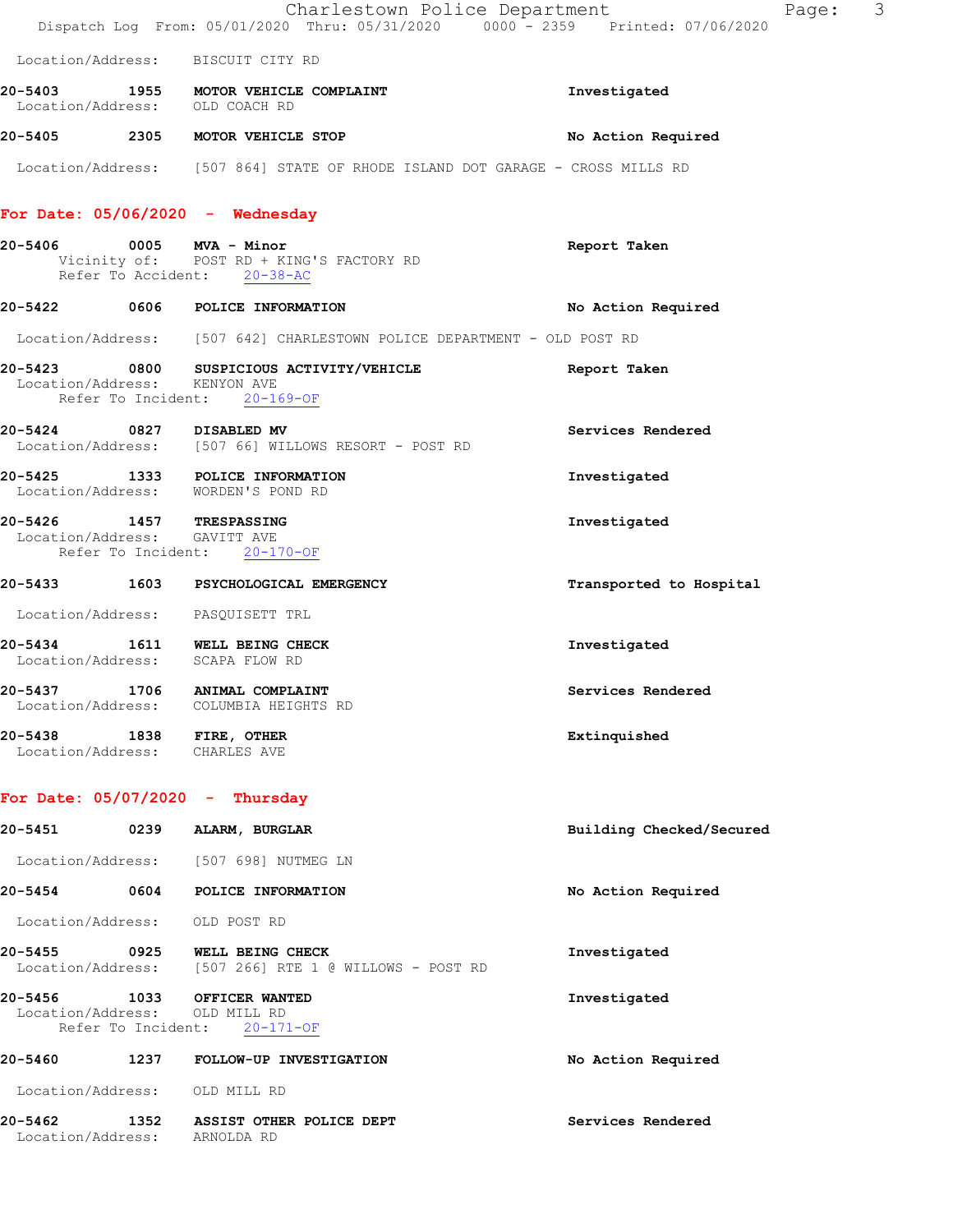|                                  |      | Dispatch Log From: 05/01/2020 Thru: 05/31/2020 0000 - 2359 Printed: 07/06/2020                | Charlestown Police Department<br>Page: | 3 |
|----------------------------------|------|-----------------------------------------------------------------------------------------------|----------------------------------------|---|
|                                  |      | Location/Address: BISCUIT CITY RD                                                             |                                        |   |
| 20-5403                          |      | 1955 MOTOR VEHICLE COMPLAINT<br>Location/Address: OLD COACH RD                                | Investigated                           |   |
|                                  |      | 20-5405 2305 MOTOR VEHICLE STOP                                                               | No Action Required                     |   |
|                                  |      | Location/Address: [507 864] STATE OF RHODE ISLAND DOT GARAGE - CROSS MILLS RD                 |                                        |   |
|                                  |      | For Date: $05/06/2020 -$ Wednesday                                                            |                                        |   |
| 20-5406                          |      | $0005$ MVA - Minor<br>Vicinity of: POST RD + KING'S FACTORY RD<br>Refer To Accident: 20-38-AC | Report Taken                           |   |
|                                  |      | 20-5422 0606 POLICE INFORMATION                                                               | No Action Required                     |   |
|                                  |      | Location/Address: [507 642] CHARLESTOWN POLICE DEPARTMENT - OLD POST RD                       |                                        |   |
| $20 - 5423$<br>Location/Address: |      | 0800 SUSPICIOUS ACTIVITY/VEHICLE<br>KENYON AVE<br>Refer To Incident: 20-169-OF                | Report Taken                           |   |
|                                  |      | 20-5424 0827 DISABLED MV<br>Location/Address: [507 66] WILLOWS RESORT - POST RD               | Services Rendered                      |   |
|                                  |      | 20-5425 1333 POLICE INFORMATION<br>Location/Address: WORDEN'S POND RD                         | Investigated                           |   |
| 20-5426                          | 1457 | <b>TRESPASSING</b><br>Location/Address: GAVITT AVE<br>Refer To Incident: 20-170-OF            | Investigated                           |   |
|                                  |      | 20-5433 1603 PSYCHOLOGICAL EMERGENCY                                                          | Transported to Hospital                |   |
|                                  |      | Location/Address: PASQUISETT TRL                                                              |                                        |   |
| 20-5434                          |      | 1611 WELL BEING CHECK<br>Location/Address: SCAPA FLOW RD                                      | Investigated                           |   |
| 20-5437<br>Location/Address:     |      | 1706 ANIMAL COMPLAINT<br>COLUMBIA HEIGHTS RD                                                  | Services Rendered                      |   |
|                                  |      | 20-5438 1838 FIRE, OTHER<br>Location/Address: CHARLES AVE                                     | Extinquished                           |   |
|                                  |      | For Date: $05/07/2020 -$ Thursday                                                             |                                        |   |
| 20-5451 20-                      |      | 0239 ALARM, BURGLAR                                                                           | Building Checked/Secured               |   |
|                                  |      | Location/Address: [507 698] NUTMEG LN                                                         |                                        |   |
| 20-5454                          |      | 0604 POLICE INFORMATION                                                                       | No Action Required                     |   |
|                                  |      | Location/Address: OLD POST RD                                                                 |                                        |   |
|                                  |      | 20-5455 0925 WELL BEING CHECK<br>Location/Address: [507 266] RTE 1 @ WILLOWS - POST RD        | Investigated                           |   |
| 20-5456 1033                     |      | OFFICER WANTED<br>Location/Address: OLD MILL RD<br>Refer To Incident: 20-171-OF               | Investigated                           |   |
| 20-5460                          | 1237 | FOLLOW-UP INVESTIGATION                                                                       | No Action Required                     |   |
|                                  |      | Location/Address: OLD MILL RD                                                                 |                                        |   |
| 20-5462                          |      | 1352 ASSIST OTHER POLICE DEPT<br>Location/Address: ARNOLDA RD                                 | Services Rendered                      |   |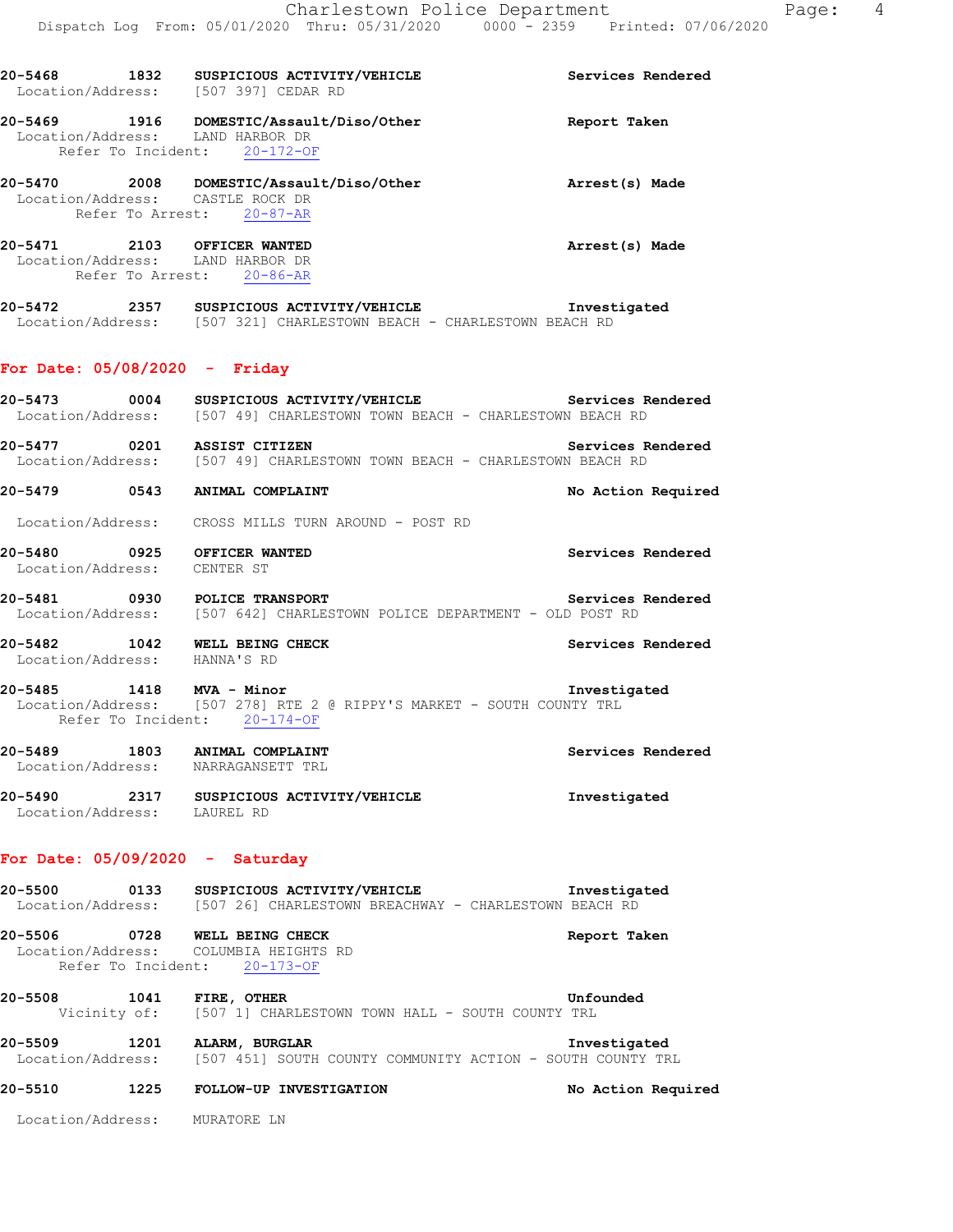| 20-5468<br>Location/Address: | 1832                       | SUSPICIOUS ACTIVITY/VEHICLE<br>[507 397] CEDAR RD               | Services Rendered |
|------------------------------|----------------------------|-----------------------------------------------------------------|-------------------|
| 20-5469<br>Location/Address: | 1916<br>Refer To Incident: | DOMESTIC/Assault/Diso/Other<br>LAND HARBOR DR<br>20-172-OF      | Report Taken      |
| 20-5470<br>Location/Address: | 2008<br>Refer To Arrest:   | DOMESTIC/Assault/Diso/Other<br>CASTLE ROCK DR<br>$20 - 87 - AR$ | Arrest(s) Made    |
| 20-5471<br>Location/Address: | 2103<br>Refer To Arrest:   | OFFICER WANTED<br>LAND HARBOR DR<br>$20 - 86 - AR$              | Arrest(s) Made    |
| 20-5472                      | 2357                       | SUSPICIOUS ACTIVITY/VEHICLE                                     | Investigated      |

Location/Address: [507 321] CHARLESTOWN BEACH - CHARLESTOWN BEACH RD

# **For Date: 05/08/2020 - Friday**

| 20-5473<br>0004<br>Location/Address: | SUSPICIOUS ACTIVITY/VEHICLE<br>[507 49] CHARLESTOWN TOWN BEACH - CHARLESTOWN BEACH RD      | Services Rendered  |
|--------------------------------------|--------------------------------------------------------------------------------------------|--------------------|
| 20–5477<br>0201                      | ASSIST CITIZEN<br>Location/Address: [507 49] CHARLESTOWN TOWN BEACH - CHARLESTOWN BEACH RD | Services Rendered  |
| 20-5479<br>0543                      | ANIMAL COMPLAINT                                                                           | No Action Required |
|                                      | Location/Address: CROSS MILLS TURN AROUND - POST RD                                        |                    |
| 20-5480<br>0925<br>Location/Address: | OFFICER WANTED<br>CENTER ST                                                                | Services Rendered  |

**20-5481 0930 POLICE TRANSPORT Services Rendered**  Location/Address: [507 642] CHARLESTOWN POLICE DEPARTMENT - OLD POST RD

**20-5482 1042 WELL BEING CHECK Services Rendered**  Location/Address: HANNA'S RD

**20-5485 1418 MVA - Minor Investigated**  Location/Address: [507 278] RTE 2 @ RIPPY'S MARKET - SOUTH COUNTY TRL Refer To Incident: 20-174-OF

| 20-5489           | 1803 | Services Rendered           |              |
|-------------------|------|-----------------------------|--------------|
| Location/Address: |      | NARRAGANSETT TRL            |              |
| 20-5490           | 2317 | SUSPICIOUS ACTIVITY/VEHICLE | Investigated |
| Location/Address: |      | LAUREL RD                   |              |

# **For Date: 05/09/2020 - Saturday**

**20-5500 0133 SUSPICIOUS ACTIVITY/VEHICLE Investigated**  Location/Address: [507 26] CHARLESTOWN BREACHWAY - CHARLESTOWN BEACH RD **20-5506 0728 WELL BEING CHECK Report Taken**  Location/Address: COLUMBIA HEIGHTS RD Refer To Incident: 20-173-OF

**20-5508 1041 FIRE, OTHER Unfounded**  Vicinity of: [507 1] CHARLESTOWN TOWN HALL - SOUTH COUNTY TRL

**20-5509 1201 ALARM, BURGLAR Investigated**  Location/Address: [507 451] SOUTH COUNTY COMMUNITY ACTION - SOUTH COUNTY TRL

**20-5510 1225 FOLLOW-UP INVESTIGATION No Action Required** 

Location/Address: MURATORE LN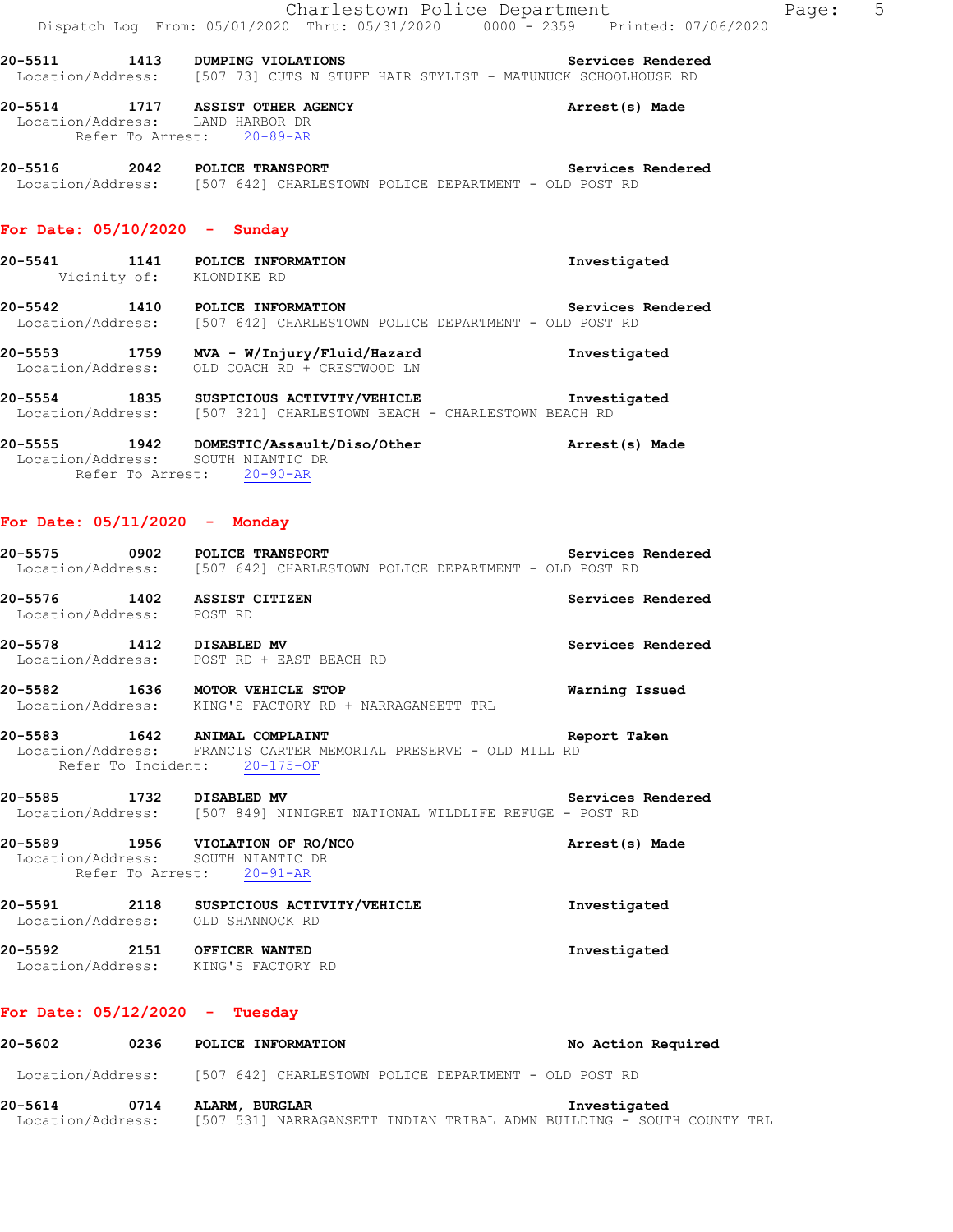**20-5511 1413 DUMPING VIOLATIONS Services Rendered**  Location/Address: [507 73] CUTS N STUFF HAIR STYLIST - MATUNUCK SCHOOLHOUSE RD

**20-5514 1717 ASSIST OTHER AGENCY Arrest(s) Made**  Location/Address: LAND HARBOR DR Refer To Arrest: 20-89-AR

**20-5516 2042 POLICE TRANSPORT Services Rendered**  Location/Address: [507 642] CHARLESTOWN POLICE DEPARTMENT - OLD POST RD

### **For Date: 05/10/2020 - Sunday**

- **20-5541 1141 POLICE INFORMATION Investigated**  Vicinity of: KLONDIKE RD
- **20-5542 1410 POLICE INFORMATION Services Rendered**  Location/Address: [507 642] CHARLESTOWN POLICE DEPARTMENT - OLD POST RD

**20-5553 1759 MVA - W/Injury/Fluid/Hazard Investigated**  Location/Address: OLD COACH RD + CRESTWOOD LN

**20-5554 1835 SUSPICIOUS ACTIVITY/VEHICLE Investigated**  Location/Address: [507 321] CHARLESTOWN BEACH - CHARLESTOWN BEACH RD

**20-5555 1942 DOMESTIC/Assault/Diso/Other Arrest(s) Made**  Location/Address: SOUTH NIANTIC DR Refer To Arrest: 20-90-AR

## **For Date: 05/11/2020 - Monday**

|                                                                        | Location/Address: [507 642] CHARLESTOWN POLICE DEPARTMENT - OLD POST RD                          |                          |
|------------------------------------------------------------------------|--------------------------------------------------------------------------------------------------|--------------------------|
| 20-5576 1402 ASSIST CITIZEN<br>Location/Address: POST RD               |                                                                                                  | Services Rendered        |
| 20-5578 1412 DISABLED MV                                               | Location/Address: POST RD + EAST BEACH RD                                                        | Services Rendered        |
| 20-5582 1636 MOTOR VEHICLE STOP                                        | Location/Address: KING'S FACTORY RD + NARRAGANSETT TRL                                           | Warning Issued           |
| 20-5583 1642 ANIMAL COMPLAINT                                          | Location/Address: FRANCIS CARTER MEMORIAL PRESERVE - OLD MILL RD<br>Refer To Incident: 20-175-OF | Report Taken             |
| 20-5585 1732 DISABLED MV                                               | Location/Address: [507 849] NINIGRET NATIONAL WILDLIFE REFUGE - POST RD                          | <b>Services Rendered</b> |
| 20-5589 1956 VIOLATION OF RO/NCO<br>Location/Address: SOUTH NIANTIC DR | Refer To Arrest: 20-91-AR                                                                        | Arrest(s) Made           |

**20-5591 2118 SUSPICIOUS ACTIVITY/VEHICLE Investigated**  Location/Address: OLD SHANNOCK RD **20-5592 2151 OFFICER WANTED Investigated**  Location/Address: KING'S FACTORY RD

#### **For Date: 05/12/2020 - Tuesday**

| 20–5602           | 0236 | POLICE INFORMATION                                                    | No Action Required |  |
|-------------------|------|-----------------------------------------------------------------------|--------------------|--|
| Location/Address: |      | [507 642] CHARLESTOWN POLICE DEPARTMENT - OLD POST RD                 |                    |  |
| 20-5614           | 0714 | Investigated<br>ALARM, BURGLAR                                        |                    |  |
| Location/Address: |      | [507 531] NARRAGANSETT INDIAN TRIBAL ADMN BUILDING - SOUTH COUNTY TRL |                    |  |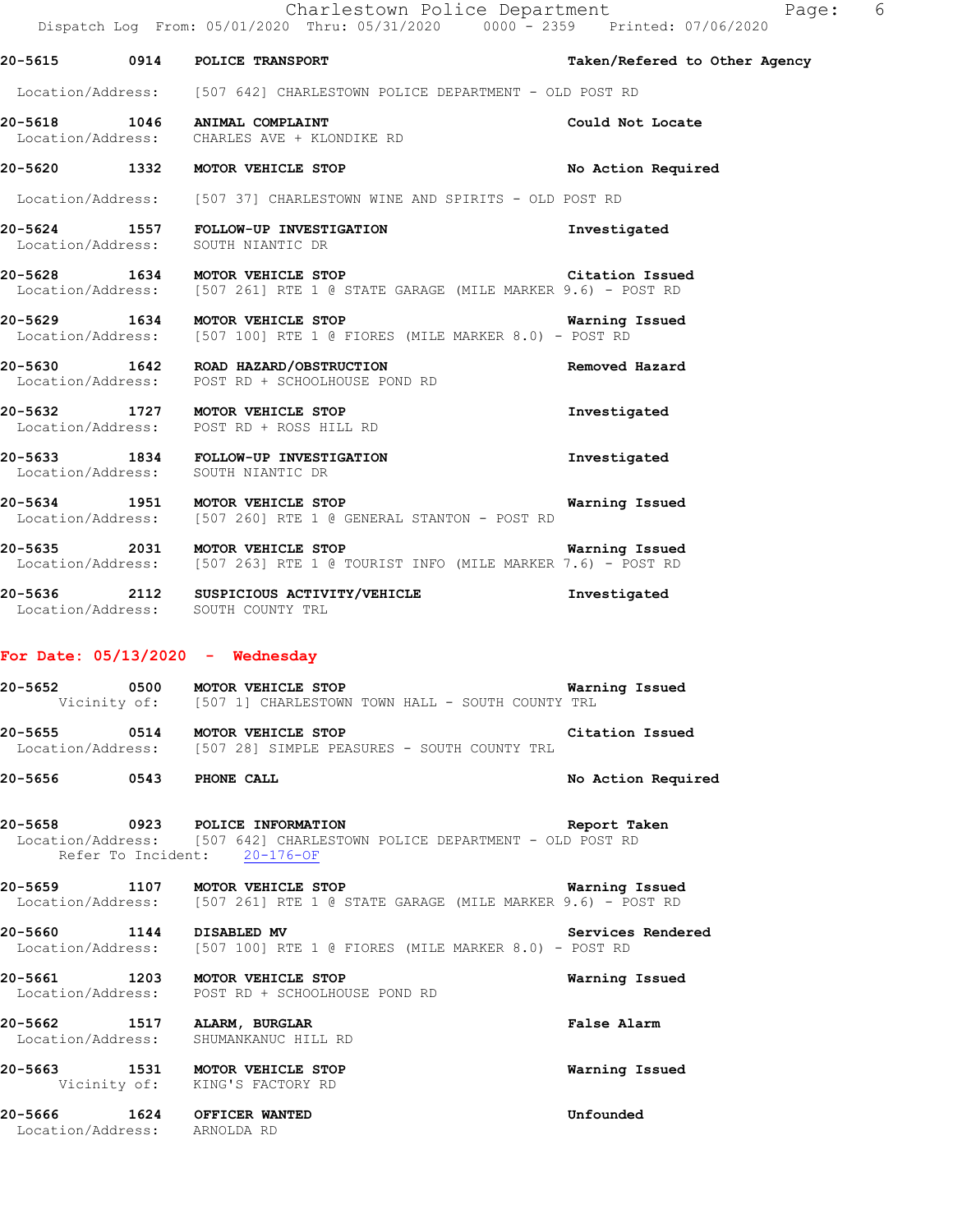|                         | Dispatch Log From: 05/01/2020 Thru: 05/31/2020 0000 - 2359 Printed: 07/06/2020                                                             |                               |
|-------------------------|--------------------------------------------------------------------------------------------------------------------------------------------|-------------------------------|
|                         | 20-5615 0914 POLICE TRANSPORT                                                                                                              | Taken/Refered to Other Agency |
|                         | Location/Address: [507 642] CHARLESTOWN POLICE DEPARTMENT - OLD POST RD                                                                    |                               |
|                         | 20-5618 1046 ANIMAL COMPLAINT<br>Location/Address: CHARLES AVE + KLONDIKE RD                                                               | Could Not Locate              |
|                         | 20-5620 1332 MOTOR VEHICLE STOP                                                                                                            | No Action Required            |
|                         | Location/Address: [507 37] CHARLESTOWN WINE AND SPIRITS - OLD POST RD                                                                      |                               |
|                         | 20-5624 1557 FOLLOW-UP INVESTIGATION<br>Location/Address: SOUTH NIANTIC DR                                                                 | Investigated                  |
|                         | 20-5628 1634 MOTOR VEHICLE STOP<br>Location/Address: [507 261] RTE 1 @ STATE GARAGE (MILE MARKER 9.6) - POST RD                            | Citation Issued               |
|                         | 20-5629 1634 MOTOR VEHICLE STOP 120 120 Warning Issued<br>Location/Address: [507 100] RTE 1 @ FIORES (MILE MARKER 8.0) - POST RD           |                               |
|                         | 20-5630 1642 ROAD HAZARD/OBSTRUCTION<br>Location/Address: POST RD + SCHOOLHOUSE POND RD                                                    | Removed Hazard                |
|                         | 20-5632 1727 MOTOR VEHICLE STOP<br>Location/Address: POST RD + ROSS HILL RD                                                                | Investigated                  |
|                         | 20-5633 1834 FOLLOW-UP INVESTIGATION<br>Location/Address: SOUTH NIANTIC DR                                                                 | Investigated                  |
|                         | 1951 MOTOR VEHICLE STOP Warning Issued<br>Location/Address: [507 260] RTE 1 @ GENERAL STANTON - POST RD                                    |                               |
|                         | 20-5635 2031 MOTOR VEHICLE STOP Warning Issued<br>Location/Address: [507 263] RTE 1 @ TOURIST INFO (MILE MARKER 7.6) - POST RD             | Warning Issued                |
|                         | 20-5636 2112 SUSPICIOUS ACTIVITY/VEHICLE Threstigated<br>Location/Address: SOUTH COUNTY TRL                                                |                               |
|                         | For Date: $05/13/2020 -$ Wednesday                                                                                                         |                               |
|                         | 20-5652 0500 MOTOR VEHICLE STOP 120 120 Warning Issued<br>Vicinity of: [507 1] CHARLESTOWN TOWN HALL - SOUTH COUNTY TRL                    |                               |
|                         | 20-5655 0514 MOTOR VEHICLE STOP<br>Location/Address: [507 28] SIMPLE PEASURES - SOUTH COUNTY TRL                                           | Citation Issued               |
| 20-5656 0543 PHONE CALL |                                                                                                                                            | No Action Required            |
|                         | 20-5658 0923 POLICE INFORMATION<br>Location/Address: [507 642] CHARLESTOWN POLICE DEPARTMENT - OLD POST RD<br>Refer To Incident: 20-176-OF | Report Taken                  |
|                         | 20-5659 1107 MOTOR VEHICLE STOP<br>Location/Address: [507 261] RTE 1 @ STATE GARAGE (MILE MARKER 9.6) - POST RD                            | Warning Issued                |
|                         | 20-5660 1144 DISABLED MV Services<br>Location/Address: [507 100] RTE 1 @ FIORES (MILE MARKER 8.0) - POST RD                                | Services Rendered             |
|                         | 20-5661 1203 MOTOR VEHICLE STOP<br>Location/Address: POST RD + SCHOOLHOUSE POND RD                                                         | Warning Issued                |
|                         | 20-5662 1517 ALARM, BURGLAR                                                                                                                | False Alarm                   |

 Location/Address: SHUMANKANUC HILL RD **20-5663 1531 MOTOR VEHICLE STOP Warning Issued** 

Vicinity of: KING'S FACTORY RD

**20-5666 1624 OFFICER WANTED Unfounded**  Location/Address: ARNOLDA RD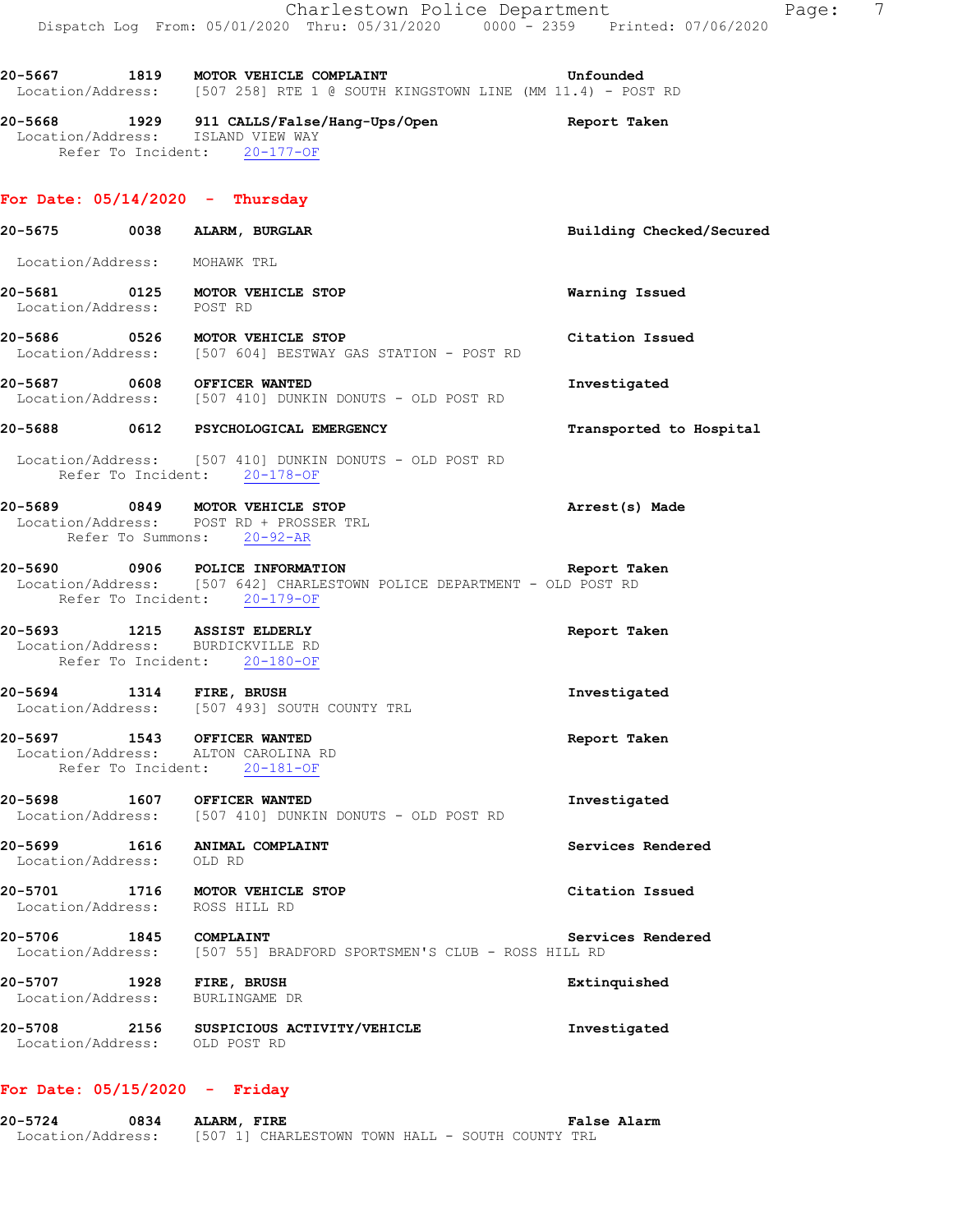**20-5667 1819 MOTOR VEHICLE COMPLAINT Unfounded**  Location/Address: [507 258] RTE 1 @ SOUTH KINGSTOWN LINE (MM 11.4) - POST RD

**20-5675 0038 ALARM, BURGLAR Building Checked/Secured** 

**20-5668 1929 911 CALLS/False/Hang-Ups/Open Report Taken**  Location/Address: ISLAND VIEW WAY Refer To Incident: 20-177-OF

#### **For Date: 05/14/2020 - Thursday**

- Location/Address: MOHAWK TRL **20-5681 0125 MOTOR VEHICLE STOP Warning Issued**  Location/Address: POST RD **20-5686 0526 MOTOR VEHICLE STOP Citation Issued**  Location/Address: [507 604] BESTWAY GAS STATION - POST RD **20-5687 0608 OFFICER WANTED Investigated**  Location/Address: [507 410] DUNKIN DONUTS - OLD POST RD **20-5688 0612 PSYCHOLOGICAL EMERGENCY Transported to Hospital**  Location/Address: [507 410] DUNKIN DONUTS - OLD POST RD Refer To Incident: 20-178-OF **20-5689 0849 MOTOR VEHICLE STOP Arrest(s) Made**  Location/Address: POST RD + PROSSER TRL Refer To Summons: 20-92-AR **20-5690 0906 POLICE INFORMATION Report Taken**  Location/Address: [507 642] CHARLESTOWN POLICE DEPARTMENT - OLD POST RD Refer To Incident: 20-179-OF **20-5693 1215 ASSIST ELDERLY Report Taken**  Location/Address: BURDICKVILLE RD Refer To Incident: 20-180-OF **20-5694 1314 FIRE, BRUSH Investigated**  Location/Address: [507 493] SOUTH COUNTY TRL **20-5697 1543 OFFICER WANTED Report Taken**  Location/Address: ALTON CAROLINA RD Refer To Incident: 20-181-OF **20-5698 1607 OFFICER WANTED Investigated**  Location/Address: [507 410] DUNKIN DONUTS - OLD POST RD **20-5699 1616 ANIMAL COMPLAINT Services Rendered**  Location/Address: OLD RD **20-5701 1716 MOTOR VEHICLE STOP Citation Issued**  Location/Address: ROSS HILL RD **20-5706 1845 COMPLAINT COMPLAINT Example 20-5706 Services Rendered Industry Services Rendered Example 2018 Industry Services CLUB** - ROSS HILL RD [507 55] BRADFORD SPORTSMEN'S CLUB - ROSS HILL RD **20-5707 1928 FIRE, BRUSH Extinquished**  Location/Address: BURLINGAME DR
- **20-5708 2156 SUSPICIOUS ACTIVITY/VEHICLE Investigated**  Location/Address: OLD POST RD

### **For Date: 05/15/2020 - Friday**

**20-5724 0834 ALARM, FIRE False Alarm**  Location/Address: [507 1] CHARLESTOWN TOWN HALL - SOUTH COUNTY TRL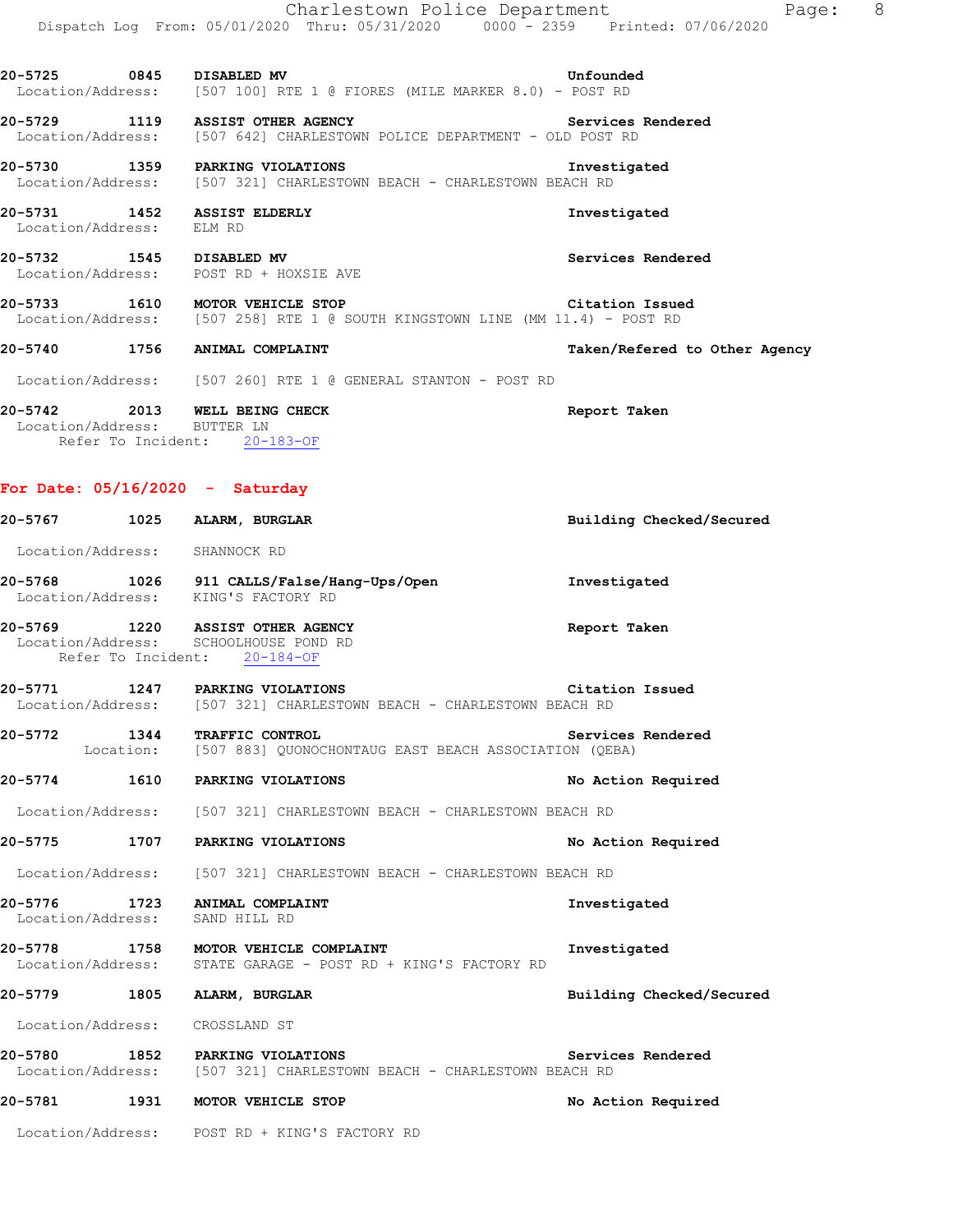|                                | Charlestown Police Department<br>Dispatch Log From: 05/01/2020 Thru: 05/31/2020 0000 - 2359 Printed: 07/06/2020 | Page: 8                       |
|--------------------------------|-----------------------------------------------------------------------------------------------------------------|-------------------------------|
|                                |                                                                                                                 | Unfounded                     |
|                                | 20-5729 1119 ASSIST OTHER AGENCY<br>Location/Address: [507 642] CHARLESTOWN POLICE DEPARTMENT - OLD POST RD     | Services Rendered             |
|                                | 20-5730 1359 PARKING VIOLATIONS<br>Location/Address: [507 321] CHARLESTOWN BEACH - CHARLESTOWN BEACH RD         | Investigated                  |
| Location/Address: ELM RD       | 20-5731 1452 ASSIST ELDERLY                                                                                     | Investigated                  |
|                                | 20-5732 1545 DISABLED MV<br>Location/Address: POST RD + HOXSIE AVE                                              | Services Rendered             |
|                                | 20-5733 1610 MOTOR VEHICLE STOP<br>Location/Address: [507 258] RTE 1 @ SOUTH KINGSTOWN LINE (MM 11.4) - POST RD | Citation Issued               |
|                                | 20-5740 1756 ANIMAL COMPLAINT                                                                                   | Taken/Refered to Other Agency |
|                                | Location/Address: [507 260] RTE 1 @ GENERAL STANTON - POST RD                                                   |                               |
| Location/Address: BUTTER LN    | 20-5742 2013 WELL BEING CHECK<br>Refer To Incident: 20-183-OF                                                   | Report Taken                  |
|                                | For Date: $05/16/2020 - Saturday$                                                                               |                               |
|                                | 20-5767 1025 ALARM, BURGLAR                                                                                     | Building Checked/Secured      |
| Location/Address: SHANNOCK RD  |                                                                                                                 |                               |
|                                | 20-5768 1026 911 CALLS/False/Hang-Ups/Open<br>Location/Address: KING'S FACTORY RD                               | Investigated                  |
|                                | 20-5769 1220 ASSIST OTHER AGENCY<br>Location/Address: SCHOOLHOUSE POND RD<br>Refer To Incident: 20-184-OF       | Report Taken                  |
|                                | 20-5771 1247 PARKING VIOLATIONS<br>Location/Address: [507 321] CHARLESTOWN BEACH - CHARLESTOWN BEACH RD         | Citation Issued               |
| 20-5772                        | 1344 TRAFFIC CONTROL<br>Location: [507 883] QUONOCHONTAUG EAST BEACH ASSOCIATION (QEBA)                         | Services Rendered             |
|                                | 20-5774 1610 PARKING VIOLATIONS                                                                                 | No Action Required            |
|                                | Location/Address: [507 321] CHARLESTOWN BEACH - CHARLESTOWN BEACH RD                                            |                               |
|                                | 20-5775 1707 PARKING VIOLATIONS                                                                                 | No Action Required            |
|                                | Location/Address: [507 321] CHARLESTOWN BEACH - CHARLESTOWN BEACH RD                                            |                               |
| Location/Address: SAND HILL RD | 20-5776 1723 ANIMAL COMPLAINT                                                                                   | Investigated                  |
|                                | 20-5778 1758 MOTOR VEHICLE COMPLAINT<br>Location/Address: STATE GARAGE - POST RD + KING'S FACTORY RD            | Investigated                  |
|                                | 20-5779 1805 ALARM, BURGLAR                                                                                     | Building Checked/Secured      |
| Location/Address: CROSSLAND ST |                                                                                                                 |                               |
|                                | 20-5780 1852 PARKING VIOLATIONS Servic<br>Location/Address: [507 321] CHARLESTOWN BEACH - CHARLESTOWN BEACH RD  | Services Rendered             |
|                                | 20-5781 1931 MOTOR VEHICLE STOP                                                                                 | No Action Required            |
|                                | Location/Address: POST RD + KING'S FACTORY RD                                                                   |                               |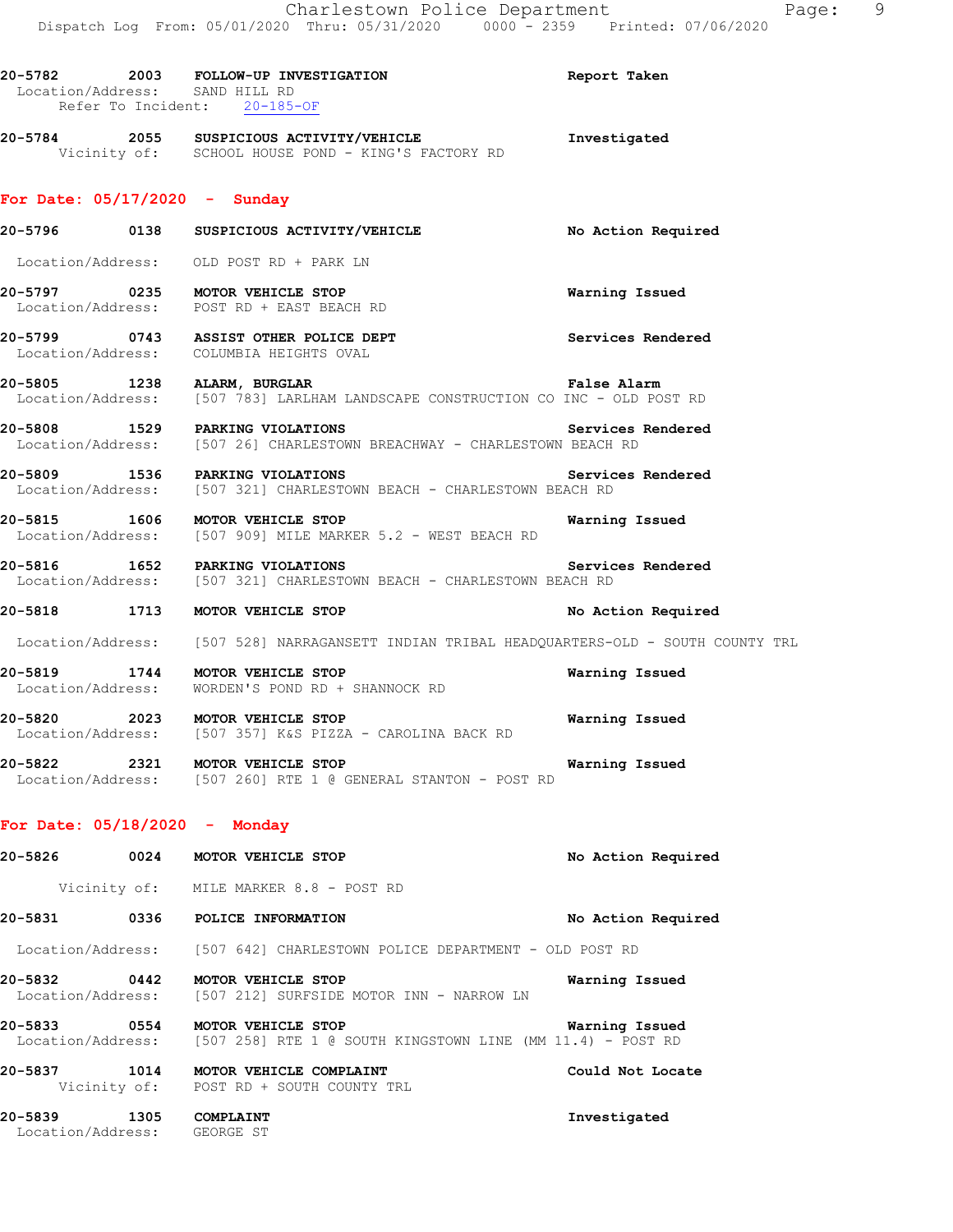| 20-5782                        | 2003                         | FOLLOW-UP INVESTIGATION | Report Taken |  |
|--------------------------------|------------------------------|-------------------------|--------------|--|
| Location/Address: SAND HILL RD |                              |                         |              |  |
|                                | Refer To Incident: 20-185-OF |                         |              |  |

**20-5784 2055 SUSPICIOUS ACTIVITY/VEHICLE Investigated**  Vicinity of: SCHOOL HOUSE POND - KING'S FACTORY RD

## **For Date: 05/17/2020 - Sunday**

- **20-5796 0138 SUSPICIOUS ACTIVITY/VEHICLE No Action Required**  Location/Address: OLD POST RD + PARK LN **20-5797 0235 MOTOR VEHICLE STOP Warning Issued**  Location/Address: POST RD + EAST BEACH RD **20-5799 0743 ASSIST OTHER POLICE DEPT Services Rendered**  Location/Address: COLUMBIA HEIGHTS OVAL
- **20-5805 1238 ALARM, BURGLAR False Alarm**  Location/Address: [507 783] LARLHAM LANDSCAPE CONSTRUCTION CO INC - OLD POST RD
- **20-5808 1529 PARKING VIOLATIONS Services Rendered**  Location/Address: [507 26] CHARLESTOWN BREACHWAY - CHARLESTOWN BEACH RD
- **20-5809 1536 PARKING VIOLATIONS Services Rendered**  Location/Address: [507 321] CHARLESTOWN BEACH - CHARLESTOWN BEACH RD
- **20-5815 1606 MOTOR VEHICLE STOP Warning Issued**  Location/Address: [507 909] MILE MARKER 5.2 - WEST BEACH RD
- **20-5816 1652 PARKING VIOLATIONS Services Rendered**  Location/Address: [507 321] CHARLESTOWN BEACH - CHARLESTOWN BEACH RD

#### **20-5818 1713 MOTOR VEHICLE STOP No Action Required**

Location/Address: [507 528] NARRAGANSETT INDIAN TRIBAL HEADQUARTERS-OLD - SOUTH COUNTY TRL

- **20-5819 1744 MOTOR VEHICLE STOP Warning Issued**  Location/Address: WORDEN'S POND RD + SHANNOCK RD
- **20-5820 2023 MOTOR VEHICLE STOP Warning Issued**  Location/Address: [507 357] K&S PIZZA - CAROLINA BACK RD
- **20-5822 2321 MOTOR VEHICLE STOP Warning Issued**  Location/Address: [507 260] RTE 1 @ GENERAL STANTON - POST RD

#### **For Date: 05/18/2020 - Monday**

| 20-5826                      | 0024 | MOTOR VEHICLE STOP                                                                      | No Action Required |
|------------------------------|------|-----------------------------------------------------------------------------------------|--------------------|
|                              |      | Vicinity of: MILE MARKER 8.8 - POST RD                                                  |                    |
| 20-5831                      | 0336 | POLICE INFORMATION                                                                      | No Action Required |
|                              |      | Location/Address: [507 642] CHARLESTOWN POLICE DEPARTMENT - OLD POST RD                 |                    |
| 20-5832                      | 0442 | <b>MOTOR VEHICLE STOP</b><br>Location/Address: [507 212] SURFSIDE MOTOR INN - NARROW LN | Warning Issued     |
| 20-5833<br>Location/Address: | 0554 | MOTOR VEHICLE STOP<br>$[507 258]$ RTE 1 @ SOUTH KINGSTOWN LINE (MM 11.4) - POST RD      | Warning Issued     |
| 20-5837                      | 1014 | MOTOR VEHICLE COMPLAINT<br>Vicinity of: POST RD + SOUTH COUNTY TRL                      | Could Not Locate   |
| 20–5839<br>Location/Address: | 1305 | COMPLAINT<br>GEORGE ST                                                                  | Investigated       |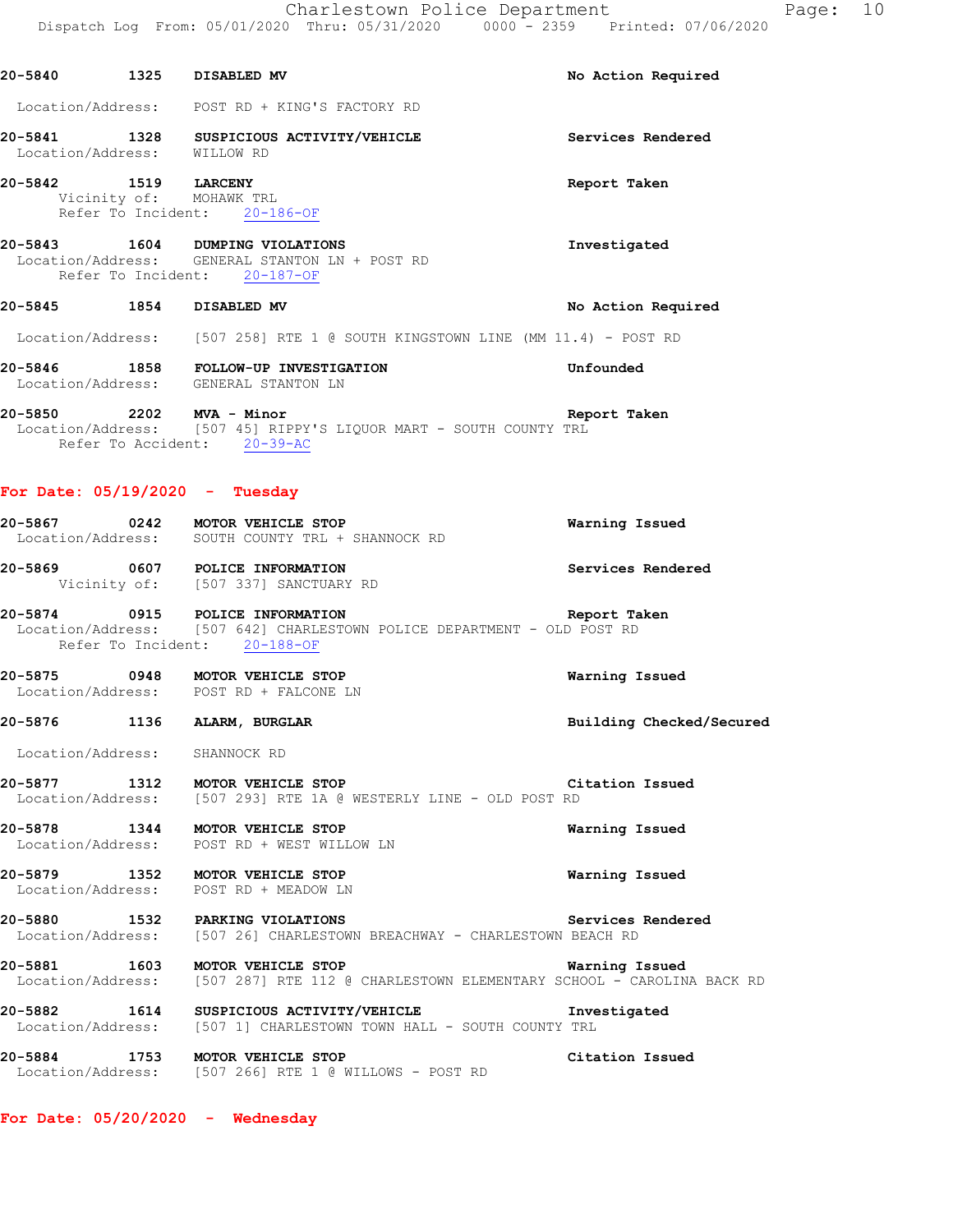20-5840 1325 DISABLED MV **No Action Required** 

|                                                 | Location/Address: POST RD + KING'S FACTORY RD                                                              |                          |
|-------------------------------------------------|------------------------------------------------------------------------------------------------------------|--------------------------|
| Location/Address: WILLOW RD                     | 20-5841 1328 SUSPICIOUS ACTIVITY/VEHICLE                                                                   | Services Rendered        |
| 20-5842 1519 LARCENY<br>Vicinity of: MOHAWK TRL | Refer To Incident: 20-186-OF                                                                               | Report Taken             |
| Refer To Incident: 20-187-OF                    | 20-5843 1604 DUMPING VIOLATIONS<br>Location/Address: GENERAL STANTON LN + POST RD                          | Investigated             |
| 20-5845 1854 DISABLED MV                        |                                                                                                            | No Action Required       |
|                                                 | Location/Address: [507 258] RTE 1 @ SOUTH KINGSTOWN LINE (MM 11.4) - POST RD                               |                          |
| Location/Address: GENERAL STANTON LN            | 20-5846 1858 FOLLOW-UP INVESTIGATION                                                                       | Unfounded                |
| Refer To Accident: 20-39-AC                     | 20-5850<br>Location/Address: [507 45] RIPPY'S LIQUOR MART - SOUTH COUNTY TRL                               | Report Taken             |
| For Date: $05/19/2020 -$ Tuesday                |                                                                                                            |                          |
|                                                 | 20-5867 0242 MOTOR VEHICLE STOP<br>Location/Address: SOUTH COUNTY TRL + SHANNOCK RD                        | Warning Issued           |
| 20-5869 0607 POLICE INFORMATION                 | Vicinity of: [507 337] SANCTUARY RD                                                                        | Services Rendered        |
| Refer To Incident: 20-188-OF                    | 20-5874 0915 POLICE INFORMATION<br>Location/Address: [507 642] CHARLESTOWN POLICE DEPARTMENT - OLD POST RD | Report Taken             |
|                                                 | 20-5875 0948 MOTOR VEHICLE STOP<br>Location/Address: POST RD + FALCONE LN                                  | Warning Issued           |
| 20-5876 1136 ALARM, BURGLAR                     |                                                                                                            | Building Checked/Secured |
| Location/Address: SHANNOCK RD                   |                                                                                                            |                          |
| 20-5877 1312 MOTOR VEHICLE STOP                 | Location/Address: [507 293] RTE 1A @ WESTERLY LINE - OLD POST RD                                           | Citation Issued          |
| 20-5878                                         | 1344 MOTOR VEHICLE STOP<br>Location/Address: POST RD + WEST WILLOW LN                                      | Warning Issued           |
| 20-5879 1352 MOTOR VEHICLE STOP                 | Location/Address: POST RD + MEADOW LN                                                                      | Warning Issued           |
| 20-5880                                         | 1532 PARKING VIOLATIONS<br>Location/Address: [507 26] CHARLESTOWN BREACHWAY - CHARLESTOWN BEACH RD         | Services Rendered        |
| 20-5881 1603 MOTOR VEHICLE STOP                 | Location/Address: [507 287] RTE 112 @ CHARLESTOWN ELEMENTARY SCHOOL - CAROLINA BACK RD                     | Warning Issued           |
| 20-5882                                         | 1614 SUSPICIOUS ACTIVITY/VEHICLE<br>Location/Address: [507 1] CHARLESTOWN TOWN HALL - SOUTH COUNTY TRL     | Investigated             |

**20-5884 1753 MOTOR VEHICLE STOP Citation Issued**  Location/Address: [507 266] RTE 1 @ WILLOWS - POST RD

**For Date: 05/20/2020 - Wednesday**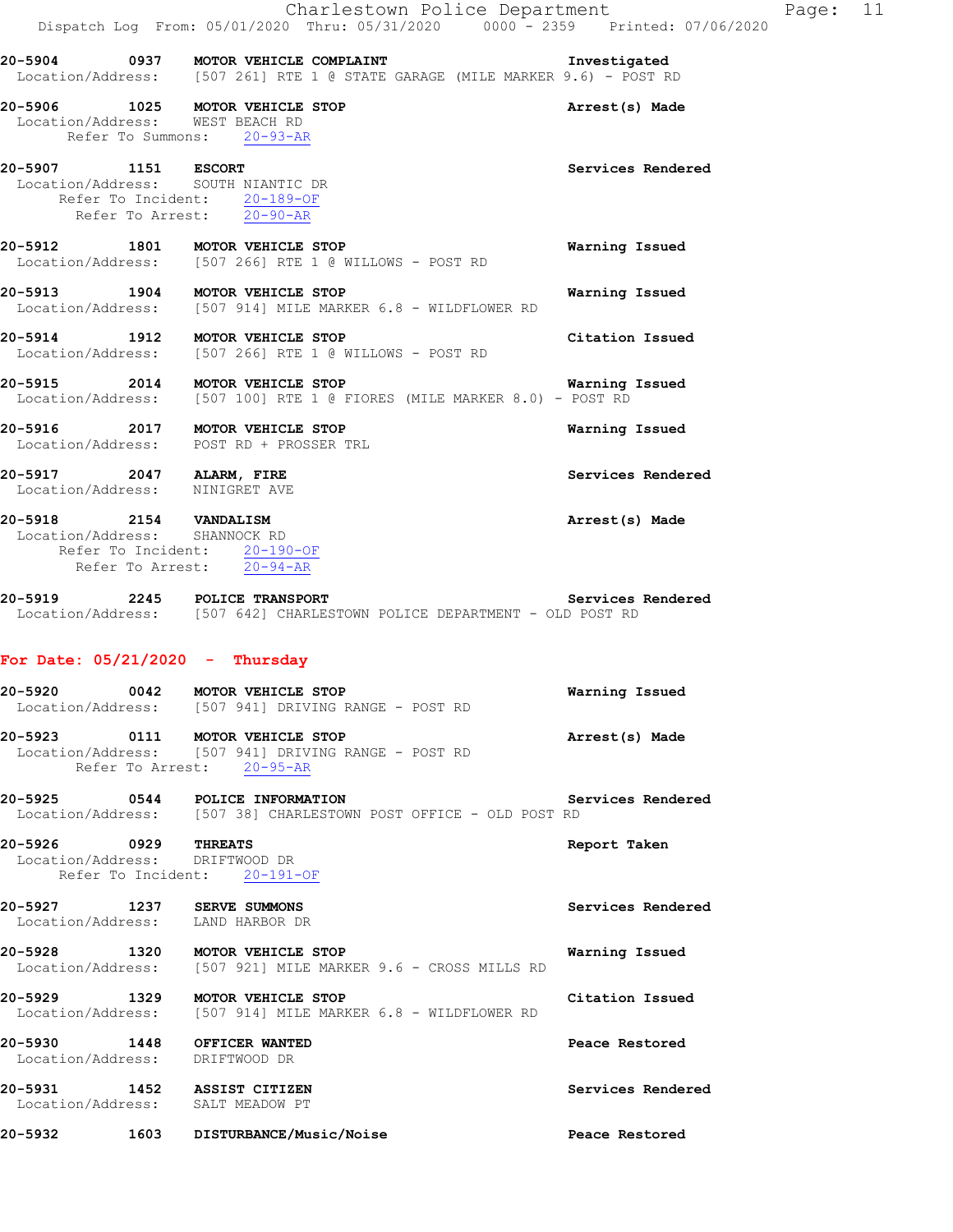|                                                                 | 20-5904 0937 MOTOR VEHICLE COMPLAINT<br>Location/Address: [507 261] RTE 1 @ STATE GARAGE (MILE MARKER 9.6) - POST RD                 | Investigated      |
|-----------------------------------------------------------------|--------------------------------------------------------------------------------------------------------------------------------------|-------------------|
| Location/Address: WEST BEACH RD                                 | 20-5906 1025 MOTOR VEHICLE STOP<br>Refer To Summons: 20-93-AR                                                                        | Arrest(s) Made    |
| 20-5907 1151 ESCORT<br>Location/Address: SOUTH NIANTIC DR       | Refer To Incident: 20-189-OF<br>Refer To Arrest: 20-90-AR                                                                            | Services Rendered |
|                                                                 | 20-5912 1801 MOTOR VEHICLE STOP<br>Location/Address: [507 266] RTE 1 @ WILLOWS - POST RD                                             | Warning Issued    |
|                                                                 | 20-5913 1904 MOTOR VEHICLE STOP<br>Location/Address: [507 914] MILE MARKER 6.8 - WILDFLOWER RD                                       | Warning Issued    |
|                                                                 | 20-5914 1912 MOTOR VEHICLE STOP<br>Location/Address: [507 266] RTE 1 @ WILLOWS - POST RD                                             | Citation Issued   |
|                                                                 | <b>20-5915 2014 MOTOR VEHICLE STOP MARKER 8.0)</b> Warning<br>Location/Address: [507 100] RTE 1 @ FIORES (MILE MARKER 8.0) - POST RD | Warning Issued    |
|                                                                 | 20-5916 2017 MOTOR VEHICLE STOP<br>Location/Address: POST RD + PROSSER TRL                                                           | Warning Issued    |
| 20-5917 2047 ALARM, FIRE<br>Location/Address: NINIGRET AVE      |                                                                                                                                      | Services Rendered |
| 20-5918 2154 VANDALISM<br>Location/Address: SHANNOCK RD         | Refer To Incident: 20-190-OF<br>Refer To Arrest: 20-94-AR                                                                            | Arrest(s) Made    |
|                                                                 | 20-5919 2245 POLICE TRANSPORT COLLER Services<br>Location/Address: [507 642] CHARLESTOWN POLICE DEPARTMENT - OLD POST RD             | Services Rendered |
| For Date: $05/21/2020$ - Thursday                               | 20-5920 0042 MOTOR VEHICLE STOP<br>Location/Address: [507 941] DRIVING RANGE - POST RD                                               | Warning Issued    |
| 20-5923                                                         | 0111 MOTOR VEHICLE STOP<br>Location/Address: [507 941] DRIVING RANGE - POST RD<br>Refer To Arrest: 20-95-AR                          | Arrest(s) Made    |
|                                                                 | 20-5925 0544 POLICE INFORMATION<br>Location/Address: [507 38] CHARLESTOWN POST OFFICE - OLD POST RD                                  | Services Rendered |
| 20-5926 0929 THREATS<br>Location/Address: DRIFTWOOD DR          | Refer To Incident: 20-191-OF                                                                                                         | Report Taken      |
| 20-5927 1237 SERVE SUMMONS<br>Location/Address: LAND HARBOR DR  |                                                                                                                                      | Services Rendered |
|                                                                 | 20-5928 1320 MOTOR VEHICLE STOP<br>Location/Address: [507 921] MILE MARKER 9.6 - CROSS MILLS RD                                      | Warning Issued    |
| 20-5929                                                         | 1329 MOTOR VEHICLE STOP<br>Location/Address: [507 914] MILE MARKER 6.8 - WILDFLOWER RD                                               | Citation Issued   |
| 20-5930 1448 OFFICER WANTED<br>Location/Address: DRIFTWOOD DR   |                                                                                                                                      | Peace Restored    |
| 20-5931 1452 ASSIST CITIZEN<br>Location/Address: SALT MEADOW PT |                                                                                                                                      | Services Rendered |
|                                                                 | 1603 DISTURBANCE/Music/Noise                                                                                                         | Peace Restored    |

Charlestown Police Department Fage: 11

Dispatch Log From: 05/01/2020 Thru: 05/31/2020 0000 - 2359 Printed: 07/06/2020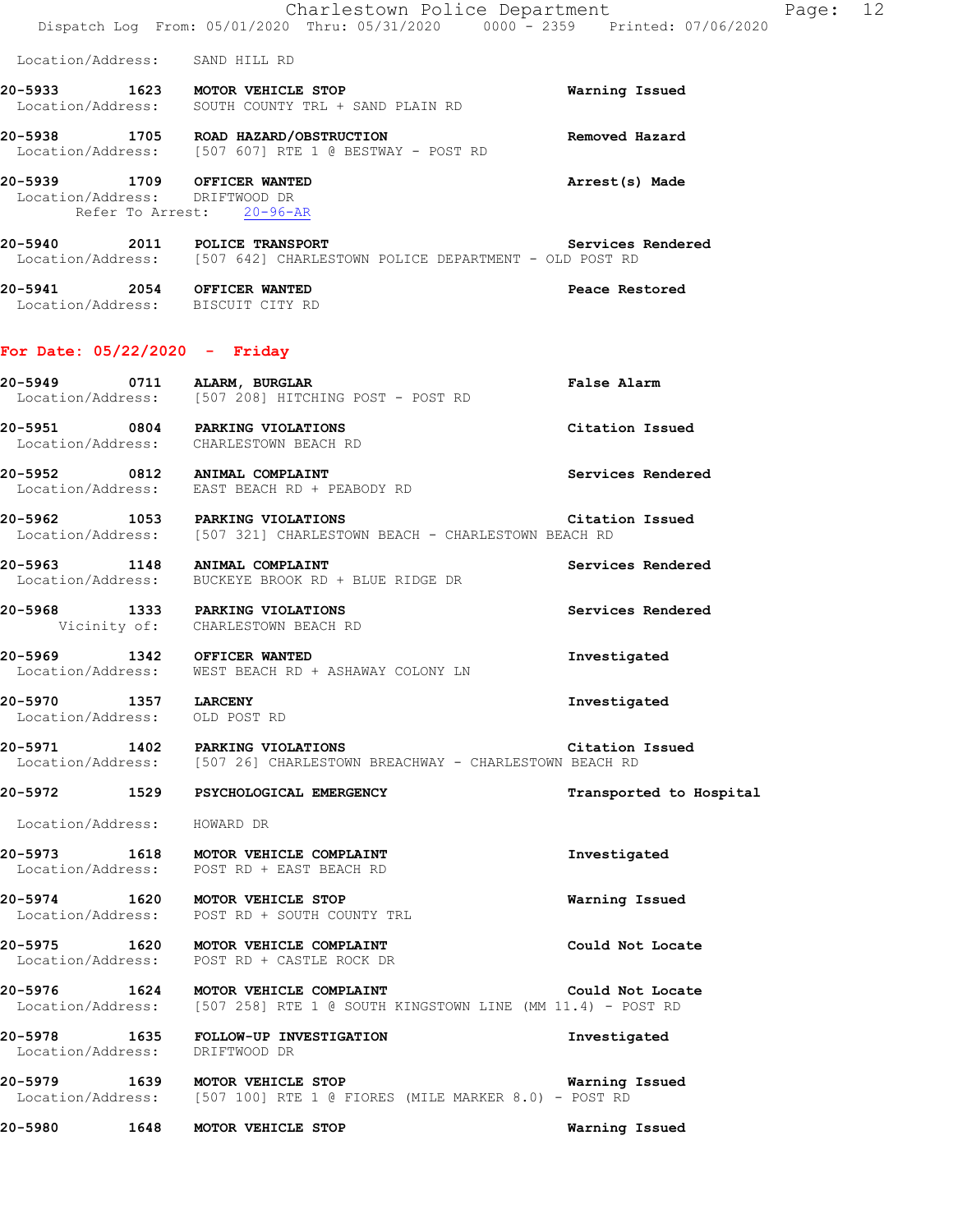|         |                             | Charlestown Police Department<br>Dispatch Log From: 05/01/2020 Thru: 05/31/2020 0000 - 2359 Printed: 07/06/2020          |                         | Page: 12 |  |
|---------|-----------------------------|--------------------------------------------------------------------------------------------------------------------------|-------------------------|----------|--|
|         |                             | Location/Address: SAND HILL RD                                                                                           |                         |          |  |
|         |                             | 20-5933 1623 MOTOR VEHICLE STOP<br>Location/Address: SOUTH COUNTY TRL + SAND PLAIN RD                                    | Warning Issued          |          |  |
|         |                             | 20-5938 1705 ROAD HAZARD/OBSTRUCTION<br>Location/Address: [507 607] RTE 1 @ BESTWAY - POST RD                            | Removed Hazard          |          |  |
|         |                             | 20-5939 1709 OFFICER WANTED<br>Location/Address: DRIFTWOOD DR<br>Refer To Arrest: 20-96-AR                               | Arrest(s) Made          |          |  |
|         |                             | 20-5940 2011 POLICE TRANSPORT COLLER Services<br>Location/Address: [507 642] CHARLESTOWN POLICE DEPARTMENT - OLD POST RD | Services Rendered       |          |  |
|         |                             | 20-5941 2054 OFFICER WANTED<br>Location/Address: BISCUIT CITY RD                                                         | Peace Restored          |          |  |
|         |                             | For Date: 05/22/2020 - Friday                                                                                            |                         |          |  |
|         |                             | 20-5949 0711 ALARM, BURGLAR<br>Location/Address: [507 208] HITCHING POST - POST RD                                       | False Alarm             |          |  |
|         |                             | 20-5951 0804 PARKING VIOLATIONS<br>Location/Address: CHARLESTOWN BEACH RD                                                | Citation Issued         |          |  |
|         |                             | 20-5952 0812 ANIMAL COMPLAINT<br>Location/Address: EAST BEACH RD + PEABODY RD                                            | Services Rendered       |          |  |
|         |                             | 20-5962 1053 PARKING VIOLATIONS<br>Location/Address: [507 321] CHARLESTOWN BEACH - CHARLESTOWN BEACH RD                  | Citation Issued         |          |  |
|         |                             | 20-5963 1148 ANIMAL COMPLAINT<br>Location/Address: BUCKEYE BROOK RD + BLUE RIDGE DR                                      | Services Rendered       |          |  |
|         |                             | 20-5968 1333 PARKING VIOLATIONS<br>Vicinity of: CHARLESTOWN BEACH RD                                                     | Services Rendered       |          |  |
|         |                             | 20-5969 1342 OFFICER WANTED<br>Location/Address: WEST BEACH RD + ASHAWAY COLONY LN                                       | Investigated            |          |  |
|         | 20-5970 1357 LARCENY        | Location/Address: OLD POST RD                                                                                            | Investigated            |          |  |
|         |                             | 20-5971 1402 PARKING VIOLATIONS<br>Location/Address: [507 26] CHARLESTOWN BREACHWAY - CHARLESTOWN BEACH RD               | Citation Issued         |          |  |
|         |                             | 20-5972 1529 PSYCHOLOGICAL EMERGENCY                                                                                     | Transported to Hospital |          |  |
|         | Location/Address: HOWARD DR |                                                                                                                          |                         |          |  |
|         |                             | 20-5973 1618 MOTOR VEHICLE COMPLAINT<br>Location/Address: POST RD + EAST BEACH RD                                        | Investigated            |          |  |
|         |                             | 20-5974 1620 MOTOR VEHICLE STOP<br>Location/Address: POST RD + SOUTH COUNTY TRL                                          | Warning Issued          |          |  |
|         |                             | 20-5975 1620 MOTOR VEHICLE COMPLAINT<br>Location/Address: POST RD + CASTLE ROCK DR                                       | Could Not Locate        |          |  |
|         |                             | 20-5976 1624 MOTOR VEHICLE COMPLAINT<br>Location/Address: [507 258] RTE 1 @ SOUTH KINGSTOWN LINE (MM 11.4) - POST RD     | Could Not Locate        |          |  |
|         |                             | 20-5978 1635 FOLLOW-UP INVESTIGATION<br>Location/Address: DRIFTWOOD DR                                                   | Investigated            |          |  |
|         |                             | 20-5979 1639 MOTOR VEHICLE STOP<br>Location/Address: [507 100] RTE 1 @ FIORES (MILE MARKER 8.0) - POST RD                | Warning Issued          |          |  |
| 20-5980 |                             | 1648 MOTOR VEHICLE STOP                                                                                                  | Warning Issued          |          |  |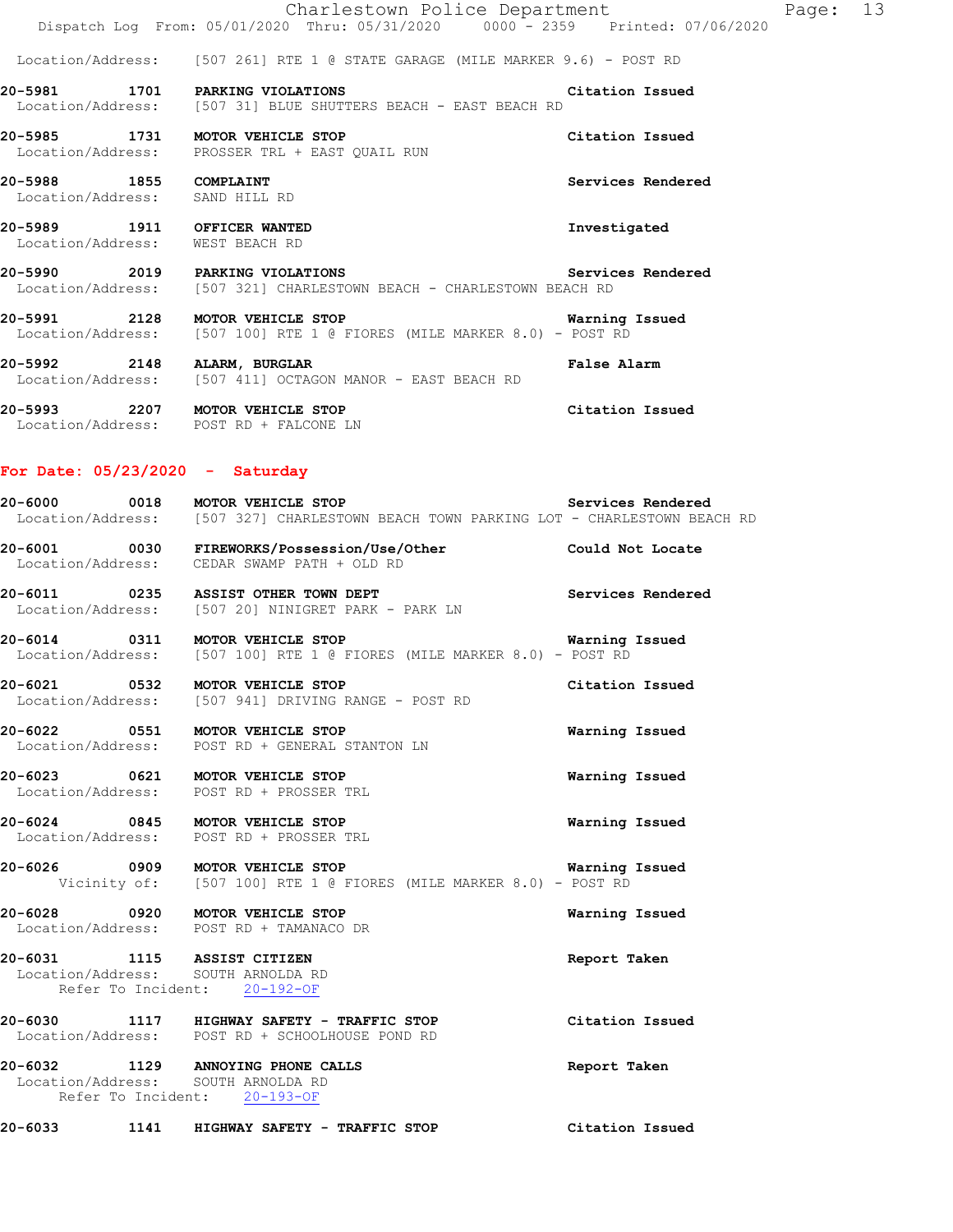|                                                          | 20-5993 2207 MOTOR VEHICLE STOP                                                                                                  | Citation Issued   |          |  |
|----------------------------------------------------------|----------------------------------------------------------------------------------------------------------------------------------|-------------------|----------|--|
|                                                          | 20-5992 2148 ALARM, BURGLAR<br>Location/Address: [507 411] OCTAGON MANOR - EAST BEACH RD                                         | False Alarm       |          |  |
|                                                          | 20-5991 2128 MOTOR VEHICLE STOP CONTROL Warning Issued<br>Location/Address: [507 100] RTE 1 @ FIORES (MILE MARKER 8.0) - POST RD |                   |          |  |
|                                                          | 20-5990 2019 PARKING VIOLATIONS<br>Location/Address: [507 321] CHARLESTOWN BEACH - CHARLESTOWN BEACH RD                          | Services Rendered |          |  |
|                                                          | 20-5989 1911 OFFICER WANTED<br>Location/Address: WEST BEACH RD                                                                   | Investigated      |          |  |
| 20-5988 1855 COMPLAINT<br>Location/Address: SAND HILL RD |                                                                                                                                  | Services Rendered |          |  |
|                                                          | 20-5985 1731 MOTOR VEHICLE STOP<br>Location/Address: PROSSER TRL + EAST QUAIL RUN                                                | Citation Issued   |          |  |
|                                                          | 20-5981 1701 PARKING VIOLATIONS<br>Location/Address: [507 31] BLUE SHUTTERS BEACH - EAST BEACH RD                                | Citation Issued   |          |  |
|                                                          | Location/Address: [507 261] RTE 1 @ STATE GARAGE (MILE MARKER 9.6) - POST RD                                                     |                   |          |  |
|                                                          | Charlestown Police Department<br>Dispatch Log From: 05/01/2020 Thru: 05/31/2020 0000 - 2359 Printed: 07/06/2020                  |                   | Page: 13 |  |

# **For Date: 05/23/2020 - Saturday**

Location/Address: POST RD + FALCONE LN

|  | 20-6000 0018 MOTOR VEHICLE STOP<br>Location/Address: [507 327] CHARLESTOWN BEACH TOWN PARKING LOT - CHARLESTOWN BEACH RD | Services Rendered        |
|--|--------------------------------------------------------------------------------------------------------------------------|--------------------------|
|  | 20-6001 0030 FIREWORKS/Possession/Use/Other Could Not Locate Location/Address: CEDAR SWAMP PATH + OLD RD                 |                          |
|  | 20-6011 0235 ASSIST OTHER TOWN DEPT<br>Location/Address: [507 20] NINIGRET PARK - PARK LN                                | <b>Services Rendered</b> |
|  | 20-6014 0311 MOTOR VEHICLE STOP WATNing<br>Location/Address: [507 100] RTE 1 @ FIORES (MILE MARKER 8.0) - POST RD        | Warning Issued           |
|  | 20-6021 0532 MOTOR VEHICLE STOP<br>Location/Address: [507 941] DRIVING RANGE - POST RD                                   | Citation Issued          |
|  | 20-6022 0551 MOTOR VEHICLE STOP<br>Location/Address: POST RD + GENERAL STANTON LN                                        | Warning Issued           |
|  | 20-6023 0621 MOTOR VEHICLE STOP<br>Location/Address: POST RD + PROSSER TRL                                               | Warning Issued           |
|  | 20-6024 0845 MOTOR VEHICLE STOP<br>Location/Address: POST RD + PROSSER TRL                                               | Warning Issued           |
|  | 20-6026 0909 MOTOR VEHICLE STOP<br>Vicinity of: [507 100] RTE 1 @ FIORES (MILE MARKER 8.0) - POST RD                     | <b>Warning Issued</b>    |
|  | 20-6028 0920 MOTOR VEHICLE STOP<br>Location/Address: POST RD + TAMANACO DR                                               | Warning Issued           |
|  | 20-6031 1115 ASSIST CITIZEN<br>Location/Address: SOUTH ARNOLDA RD<br>Refer To Incident: 20-192-OF                        | Report Taken             |
|  | 20-6030 1117 HIGHWAY SAFETY - TRAFFIC STOP<br>Location/Address: POST RD + SCHOOLHOUSE POND RD                            | Citation Issued          |
|  | 20-6032 1129 ANNOYING PHONE CALLS<br>Location/Address: SOUTH ARNOLDA RD<br>Refer To Incident: 20-193-OF                  | Report Taken             |

| 20-6033 | 1141 | HIGHWAY SAFETY - TRAFFIC STOP |  | Citation Issued |  |
|---------|------|-------------------------------|--|-----------------|--|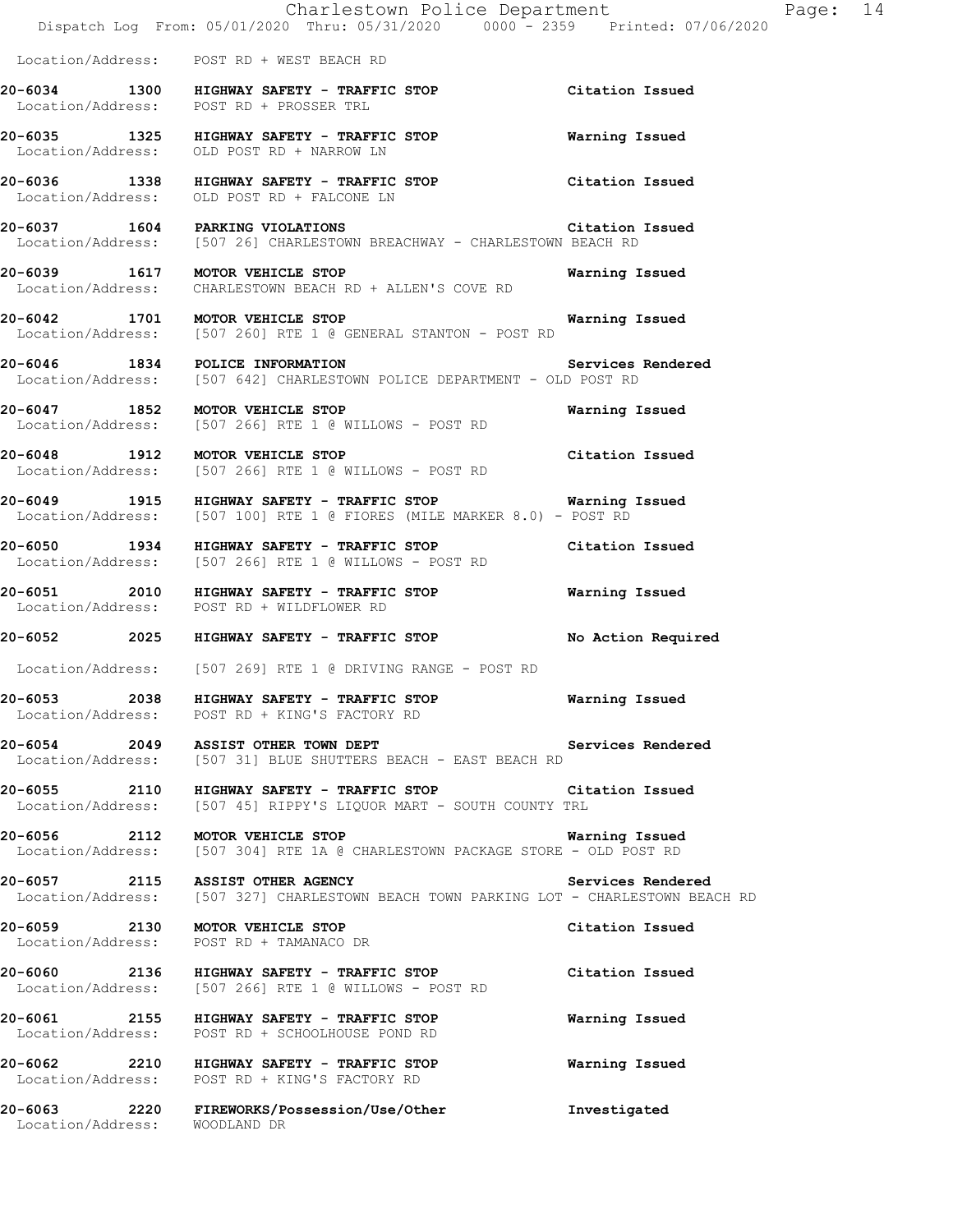|                                  | Charlestown Police Department<br>Dispatch Log From: 05/01/2020 Thru: 05/31/2020 0000 - 2359 Printed: 07/06/2020                            |                   |
|----------------------------------|--------------------------------------------------------------------------------------------------------------------------------------------|-------------------|
|                                  | Location/Address: POST RD + WEST BEACH RD                                                                                                  |                   |
|                                  | 20-6034 1300 HIGHWAY SAFETY - TRAFFIC STOP Citation Issued<br>Location/Address: POST RD + PROSSER TRL                                      |                   |
|                                  | 20-6035 1325 HIGHWAY SAFETY - TRAFFIC STOP<br>Location/Address: OLD POST RD + NARROW LN                                                    | Warning Issued    |
|                                  | 20-6036 1338 HIGHWAY SAFETY - TRAFFIC STOP<br>Location/Address: OLD POST RD + FALCONE LN                                                   | Citation Issued   |
| 20-6037 1604 PARKING VIOLATIONS  | Location/Address: [507 26] CHARLESTOWN BREACHWAY - CHARLESTOWN BEACH RD                                                                    | Citation Issued   |
|                                  | 20-6039 1617 MOTOR VEHICLE STOP<br>Location/Address: CHARLESTOWN BEACH RD + ALLEN'S COVE RD                                                | Warning Issued    |
|                                  | 20-6042 1701 MOTOR VEHICLE STOP<br>Location/Address: [507 260] RTE 1 @ GENERAL STANTON - POST RD                                           | Warning Issued    |
|                                  | 20-6046 1834 POLICE INFORMATION Services<br>Location/Address: [507 642] CHARLESTOWN POLICE DEPARTMENT - OLD POST RD                        | Services Rendered |
| 20-6047 1852 MOTOR VEHICLE STOP  | Location/Address: [507 266] RTE 1 @ WILLOWS - POST RD                                                                                      | Warning Issued    |
| 20-6048 1912 MOTOR VEHICLE STOP  | Location/Address: [507 266] RTE 1 @ WILLOWS - POST RD                                                                                      | Citation Issued   |
|                                  | 20-6049 1915 HIGHWAY SAFETY - TRAFFIC STOP <b>Warning Issued</b><br>Location/Address: [507 100] RTE 1 @ FIORES (MILE MARKER 8.0) - POST RD |                   |
|                                  | 20-6050 1934 HIGHWAY SAFETY - TRAFFIC STOP<br>Location/Address: [507 266] RTE 1 @ WILLOWS - POST RD                                        | Citation Issued   |
|                                  | 20-6051 2010 HIGHWAY SAFETY - TRAFFIC STOP<br>Location/Address: POST RD + WILDFLOWER RD                                                    | Warning Issued    |
|                                  | 20-6052     2025   HIGHWAY SAFETY - TRAFFIC STOP         No Action Required                                                                |                   |
|                                  | Location/Address: [507 269] RTE 1 @ DRIVING RANGE - POST RD                                                                                |                   |
|                                  | 20-6053 2038 HIGHWAY SAFETY - TRAFFIC STOP<br>Location/Address: POST RD + KING'S FACTORY RD                                                | Warning Issued    |
|                                  | 20-6054 2049 ASSIST OTHER TOWN DEPT<br>Location/Address: [507 31] BLUE SHUTTERS BEACH - EAST BEACH RD                                      | Services Rendered |
|                                  | 20-6055 2110 HIGHWAY SAFETY - TRAFFIC STOP Citation Issued<br>Location/Address: [507 45] RIPPY'S LIQUOR MART - SOUTH COUNTY TRL            |                   |
| 20-6056 2112 MOTOR VEHICLE STOP  | Location/Address: [507 304] RTE 1A @ CHARLESTOWN PACKAGE STORE - OLD POST RD                                                               | Warning Issued    |
| 20-6057 2115 ASSIST OTHER AGENCY | Location/Address: [507 327] CHARLESTOWN BEACH TOWN PARKING LOT - CHARLESTOWN BEACH RD                                                      | Services Rendered |
| 20-6059 2130 MOTOR VEHICLE STOP  | Location/Address: POST RD + TAMANACO DR                                                                                                    | Citation Issued   |
|                                  | 20-6060 2136 HIGHWAY SAFETY - TRAFFIC STOP<br>Location/Address: [507 266] RTE 1 @ WILLOWS - POST RD                                        | Citation Issued   |
|                                  | 20-6061 2155 HIGHWAY SAFETY - TRAFFIC STOP<br>Location/Address: POST RD + SCHOOLHOUSE POND RD                                              | Warning Issued    |
|                                  | 20-6062 2210 HIGHWAY SAFETY - TRAFFIC STOP<br>Location/Address: POST RD + KING'S FACTORY RD                                                | Warning Issued    |

**20-6063 2220 FIREWORKS/Possession/Use/Other Investigated** 

Location/Address: WOODLAND DR

Page: 14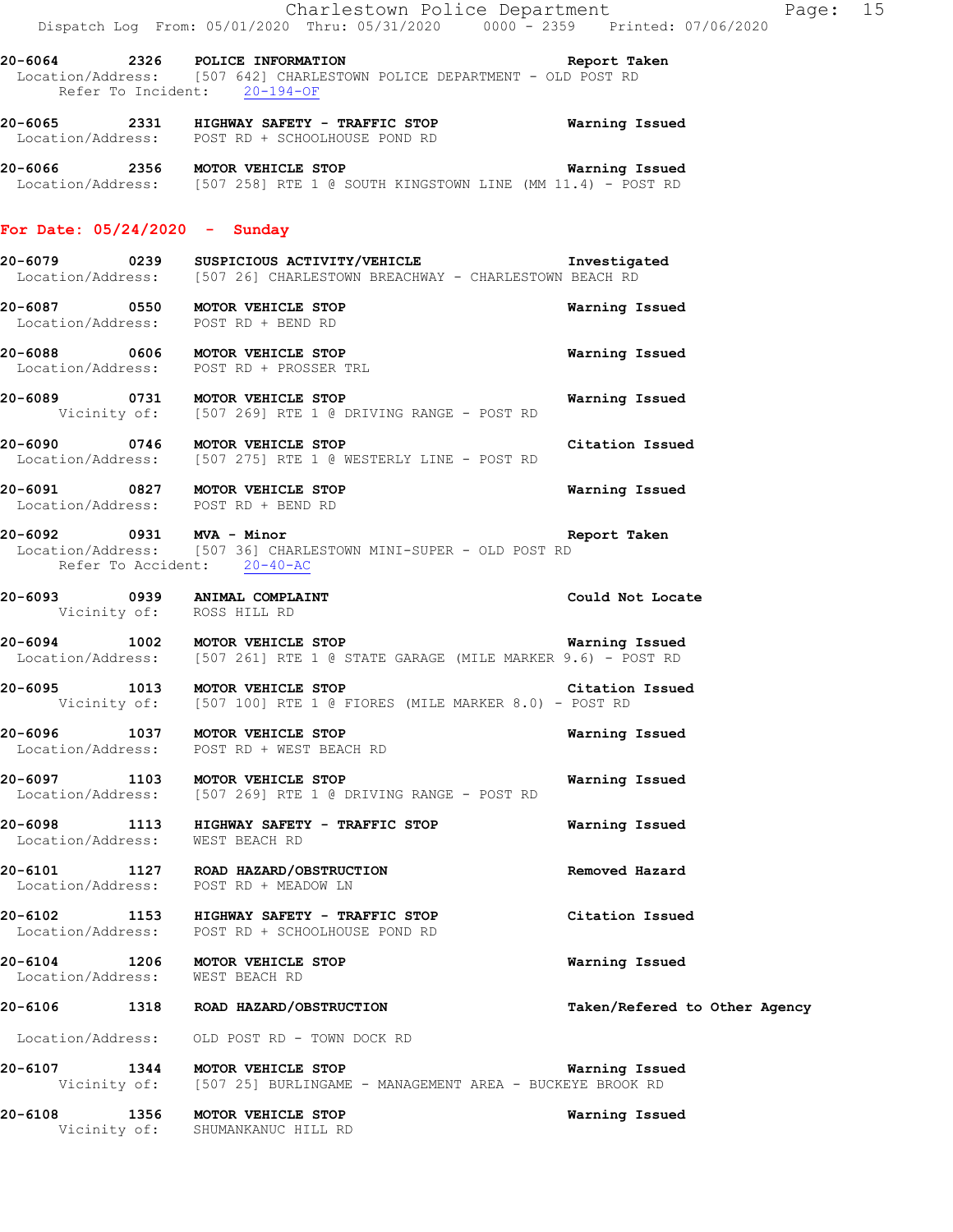**20-6064 2326 POLICE INFORMATION Report Taken**  Location/Address: [507 642] CHARLESTOWN POLICE DEPARTMENT - OLD POST RD Refer To Incident: 20-194-OF

**20-6065 2331 HIGHWAY SAFETY - TRAFFIC STOP Warning Issued**  Location/Address: POST RD + SCHOOLHOUSE POND RD

**20-6066 2356 MOTOR VEHICLE STOP Warning Issued**  Location/Address: [507 258] RTE 1 @ SOUTH KINGSTOWN LINE (MM 11.4) - POST RD

### **For Date: 05/24/2020 - Sunday**

- **20-6079 0239 SUSPICIOUS ACTIVITY/VEHICLE Investigated**  [507 26] CHARLESTOWN BREACHWAY - CHARLESTOWN BEACH RD **20-6087 0550 MOTOR VEHICLE STOP Warning Issued**  Location/Address: POST RD + BEND RD **20-6088 0606 MOTOR VEHICLE STOP Warning Issued**  Location/Address: POST RD + PROSSER TRL **20-6089 0731 MOTOR VEHICLE STOP Warning Issued**  Vicinity of: [507 269] RTE 1 @ DRIVING RANGE - POST RD **20-6090 0746 MOTOR VEHICLE STOP Citation Issued**  Location/Address: [507 275] RTE 1 @ WESTERLY LINE - POST RD
- **20-6091 0827 MOTOR VEHICLE STOP Warning Issued**  Location/Address: POST RD + BEND RD
- **20-6092 0931 MVA Minor Report Taken**  Location/Address: [507 36] CHARLESTOWN MINI-SUPER - OLD POST RD Refer To Accident: 20-40-AC
- **20-6093 0939 ANIMAL COMPLAINT Could Not Locate**  Vicinity of: ROSS HILL RD
- **20-6094 1002 MOTOR VEHICLE STOP Warning Issued**  Location/Address: [507 261] RTE 1 @ STATE GARAGE (MILE MARKER 9.6) - POST RD
- **20-6095 1013 MOTOR VEHICLE STOP Citation Issued** Vicinity of: [507 100] RTE 1 @ FIORES (MILE MARKER 8.0) POST RD [507 100] RTE 1 @ FIORES (MILE MARKER 8.0) - POST RD
- **20-6096 1037 MOTOR VEHICLE STOP Warning Issued**  Location/Address: POST RD + WEST BEACH RD
- **20-6097 1103 MOTOR VEHICLE STOP Warning Issued**  Location/Address: [507 269] RTE 1 @ DRIVING RANGE - POST RD
- **20-6098 1113 HIGHWAY SAFETY TRAFFIC STOP Warning Issued**  Location/Address: WEST BEACH RD
- **20-6101 1127 ROAD HAZARD/OBSTRUCTION Removed Hazard**  Location/Address: POST RD + MEADOW LN
- **20-6102 1153 HIGHWAY SAFETY TRAFFIC STOP Citation Issued**  Location/Address: POST RD + SCHOOLHOUSE POND RD
- **20-6104 1206 MOTOR VEHICLE STOP 1206 WAREL WAREL STOP WAREL WAREL WAREL WAREL** Location/Address:
- **20-6106 1318 ROAD HAZARD/OBSTRUCTION Taken/Refered to Other Agency**
- Location/Address: OLD POST RD TOWN DOCK RD
- **20-6107 1344 MOTOR VEHICLE STOP Warning Issued**<br>Vicinity of: [507 25] BURLINGAME MANAGEMENT AREA BUCKEYE BROOK RD [507 25] BURLINGAME - MANAGEMENT AREA - BUCKEYE BROOK RD
- **20-6108 1356 MOTOR VEHICLE STOP Warning Issued**  Vicinity of: SHUMANKANUC HILL RD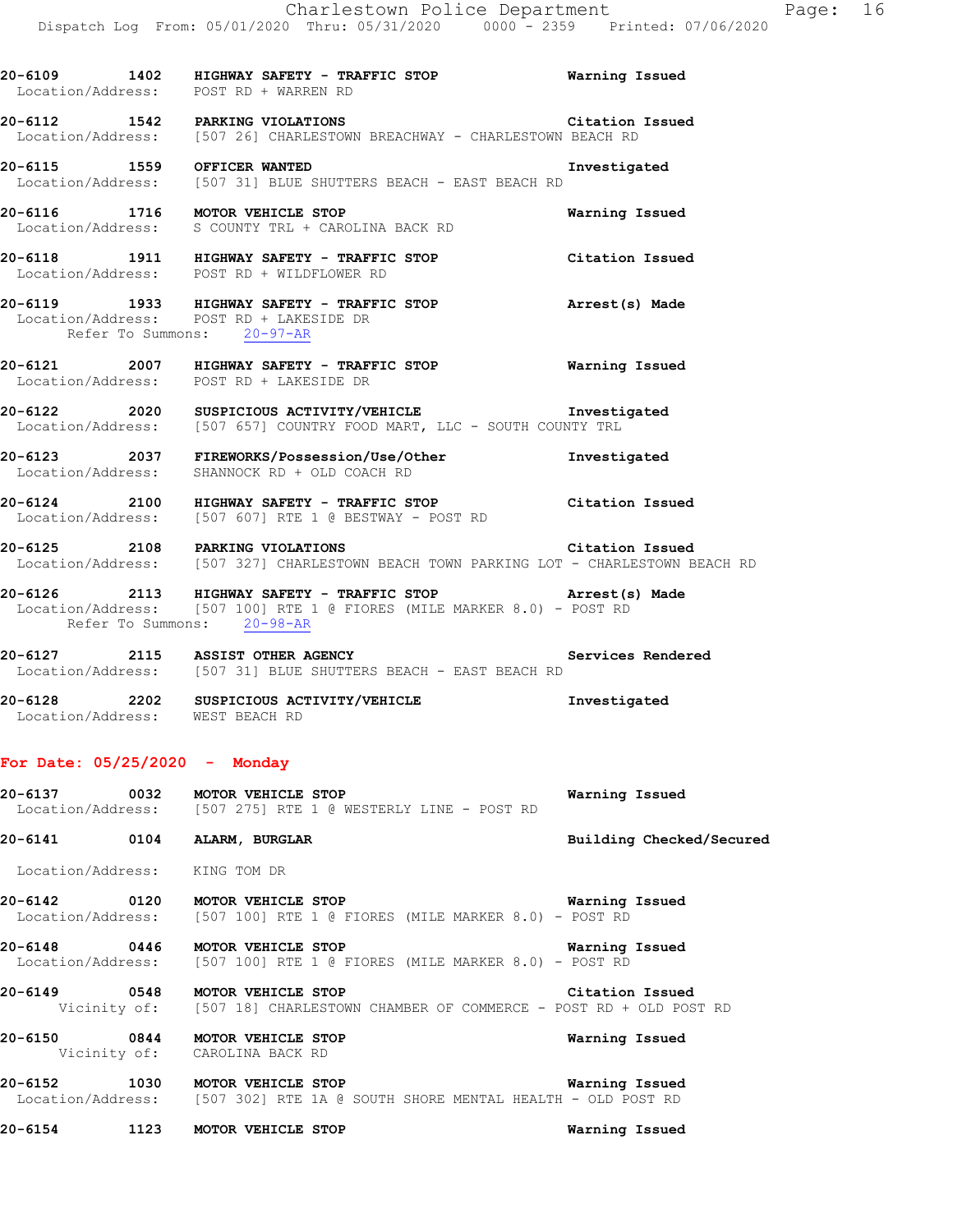**20-6109 1402 HIGHWAY SAFETY - TRAFFIC STOP Warning Issued**  Location/Address: POST RD + WARREN RD **20-6112 1542 PARKING VIOLATIONS Citation Issued Citation Issued Citation Issued Location/Address:** [507 26] CHARLESTOWN BREACHWAY - CHARLESTOWN BEACH RD [507 26] CHARLESTOWN BREACHWAY - CHARLESTOWN BEACH RD **20-6115 1559 OFFICER WANTED Investigated** 

 Location/Address: [507 31] BLUE SHUTTERS BEACH - EAST BEACH RD **20-6116 1716 MOTOR VEHICLE STOP Warning Issued**  Location/Address: S COUNTY TRL + CAROLINA BACK RD

**20-6118 1911 HIGHWAY SAFETY - TRAFFIC STOP Citation Issued**  Location/Address: POST RD + WILDFLOWER RD

**20-6119 1933 HIGHWAY SAFETY - TRAFFIC STOP Arrest(s) Made**  Location/Address: POST RD + LAKESIDE DR Refer To Summons: 20-97-AR

**20-6121 2007 HIGHWAY SAFETY - TRAFFIC STOP Warning Issued**  Location/Address: POST RD + LAKESIDE DR

**20-6122 2020 SUSPICIOUS ACTIVITY/VEHICLE Investigated**  Location/Address: [507 657] COUNTRY FOOD MART, LLC - SOUTH COUNTY TRL

**20-6123 2037 FIREWORKS/Possession/Use/Other Investigated**  Location/Address: SHANNOCK RD + OLD COACH RD

**20-6124 2100 HIGHWAY SAFETY - TRAFFIC STOP Citation Issued**  Location/Address: [507 607] RTE 1 @ BESTWAY - POST RD

**20-6125 2108 PARKING VIOLATIONS Citation Issued Citation Issued**<br>Location/Address: [507 327] CHARLESTOWN BEACH TOWN PARKING LOT - CHARLESTOWN B [507 327] CHARLESTOWN BEACH TOWN PARKING LOT - CHARLESTOWN BEACH RD

**20-6126 2113 HIGHWAY SAFETY - TRAFFIC STOP Arrest(s) Made**  Location/Address: [507 100] RTE 1 @ FIORES (MILE MARKER 8.0) - POST RD Refer To Summons: 20-98-AR

**20-6127 2115 ASSIST OTHER AGENCY Services Rendered**  Location/Address: [507 31] BLUE SHUTTERS BEACH - EAST BEACH RD

**20-6128 2202 SUSPICIOUS ACTIVITY/VEHICLE Investigated**  Location/Address: WEST BEACH RD

# **For Date: 05/25/2020 - Monday**

**20-6137 0032 MOTOR VEHICLE STOP Warning Issued**  [507 275] RTE 1 @ WESTERLY LINE - POST RD

**20-6141 0104 ALARM, BURGLAR Building Checked/Secured** 

Location/Address: KING TOM DR

**20-6142 0120 MOTOR VEHICLE STOP WATER SEPREMENT OF STAR WARES ISSUED**<br>Location/Address: [507 100] RTE 1 @ FIORES (MILE MARKER 8.0) - POST RD  $[507 100]$  RTE 1 @ FIORES (MILE MARKER 8.0) - POST RD

**20-6148 0446 MOTOR VEHICLE STOP Warning Issued**  Location/Address: [507 100] RTE 1 @ FIORES (MILE MARKER 8.0) - POST RD

**20-6149 0548 MOTOR VEHICLE STOP CITATION CHAMER OF COMMERCE - POST RD + OLD POS** Vicinity of: [507 18] CHARLESTOWN CHAMBER OF COMMERCE - POST RD + OLD POS [507 18] CHARLESTOWN CHAMBER OF COMMERCE - POST RD + OLD POST RD

**20-6150 0844 MOTOR VEHICLE STOP Warning Issued**  Vicinity of: CAROLINA BACK RD

**20-6152 1030 MOTOR VEHICLE STOP WARE WARE WERE ISSUED WARE WARE MENTAL REALTH** - OLD POST RD [507 302] RTE 1A @ SOUTH SHORE MENTAL HEALTH - OLD POST RD

**20-6154 1123 MOTOR VEHICLE STOP Warning Issued**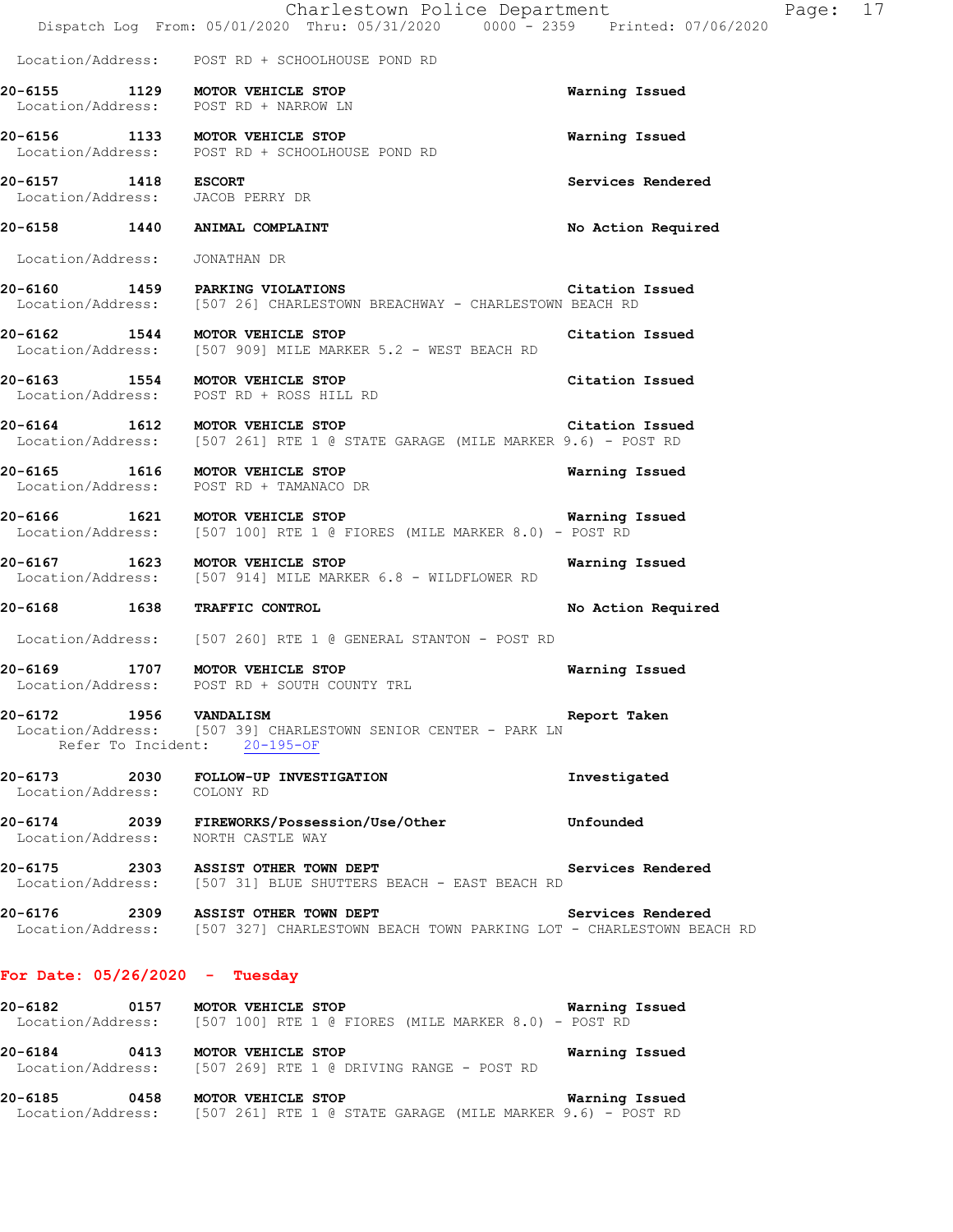|                                                                             | Charlestown Police Department<br>Dispatch Log From: 05/01/2020 Thru: 05/31/2020 0000 - 2359 Printed: 07/06/2020              | Page: 17           |
|-----------------------------------------------------------------------------|------------------------------------------------------------------------------------------------------------------------------|--------------------|
|                                                                             | Location/Address: POST RD + SCHOOLHOUSE POND RD                                                                              |                    |
| 20-6155 1129 MOTOR VEHICLE STOP<br>Location/Address: POST RD + NARROW LN    |                                                                                                                              | Warning Issued     |
|                                                                             | 20-6156 1133 MOTOR VEHICLE STOP<br>Location/Address: POST RD + SCHOOLHOUSE POND RD                                           | Warning Issued     |
| 20-6157 1418 ESCORT<br>Location/Address: JACOB PERRY DR                     |                                                                                                                              | Services Rendered  |
| 20-6158 1440 ANIMAL COMPLAINT                                               |                                                                                                                              | No Action Required |
| Location/Address: JONATHAN DR                                               |                                                                                                                              |                    |
| 20-6160 1459 PARKING VIOLATIONS                                             | Location/Address: [507 26] CHARLESTOWN BREACHWAY - CHARLESTOWN BEACH RD                                                      | Citation Issued    |
| 20-6162 1544 MOTOR VEHICLE STOP                                             | Location/Address: [507 909] MILE MARKER 5.2 - WEST BEACH RD                                                                  | Citation Issued    |
| 20-6163 1554 MOTOR VEHICLE STOP<br>Location/Address: POST RD + ROSS HILL RD |                                                                                                                              | Citation Issued    |
|                                                                             | 20-6164 1612 MOTOR VEHICLE STOP<br>Location/Address: [507 261] RTE 1 @ STATE GARAGE (MILE MARKER 9.6) - POST RD              | Citation Issued    |
| 20-6165 1616 MOTOR VEHICLE STOP                                             | Location/Address: POST RD + TAMANACO DR                                                                                      | Warning Issued     |
|                                                                             | 20-6166 1621 MOTOR VEHICLE STOP<br>Location/Address: [507 100] RTE 1 @ FIORES (MILE MARKER 8.0) - POST RD                    | Warning Issued     |
|                                                                             | 20-6167 1623 MOTOR VEHICLE STOP<br>Location/Address: [507 914] MILE MARKER 6.8 - WILDFLOWER RD                               | Warning Issued     |
| 20-6168 1638 TRAFFIC CONTROL                                                |                                                                                                                              | No Action Required |
|                                                                             | Location/Address: [507 260] RTE 1 @ GENERAL STANTON - POST RD                                                                |                    |
| 20-6169 1707 MOTOR VEHICLE STOP                                             | Location/Address: POST RD + SOUTH COUNTY TRL                                                                                 | Warning Issued     |
| 20-6172 1956 VANDALISM<br>Refer To Incident: 20-195-OF                      | Location/Address: [507 39] CHARLESTOWN SENIOR CENTER - PARK LN                                                               | Report Taken       |
| Location/Address: COLONY RD                                                 | 20-6173 2030 FOLLOW-UP INVESTIGATION                                                                                         | Investigated       |
| Location/Address: NORTH CASTLE WAY                                          | 20-6174 2039 FIREWORKS/Possession/Use/Other Unfounded                                                                        |                    |
|                                                                             | 20-6175 2303 ASSIST OTHER TOWN DEPT Services Rendered<br>Location/Address: [507 31] BLUE SHUTTERS BEACH - EAST BEACH RD      |                    |
|                                                                             | 20-6176 2309 ASSIST OTHER TOWN DEPT<br>Location/Address: [507 327] CHARLESTOWN BEACH TOWN PARKING LOT - CHARLESTOWN BEACH RD | Services Rendered  |
| For Date: $05/26/2020 - Tuesday$                                            |                                                                                                                              |                    |
|                                                                             | 20-6182 0157 MOTOR VEHICLE STOP<br>Location/Address: [507 100] RTE 1 @ FIORES (MILE MARKER 8.0) - POST RD                    | Warning Issued     |
| 20-6184 0413 MOTOR VEHICLE STOP                                             | Location/Address: [507 269] RTE 1 @ DRIVING RANGE - POST RD                                                                  | Warning Issued     |

**20-6185 0458 MOTOR VEHICLE STOP Warning Issued**  Location/Address: [507 261] RTE 1 @ STATE GARAGE (MILE MARKER 9.6) - POST RD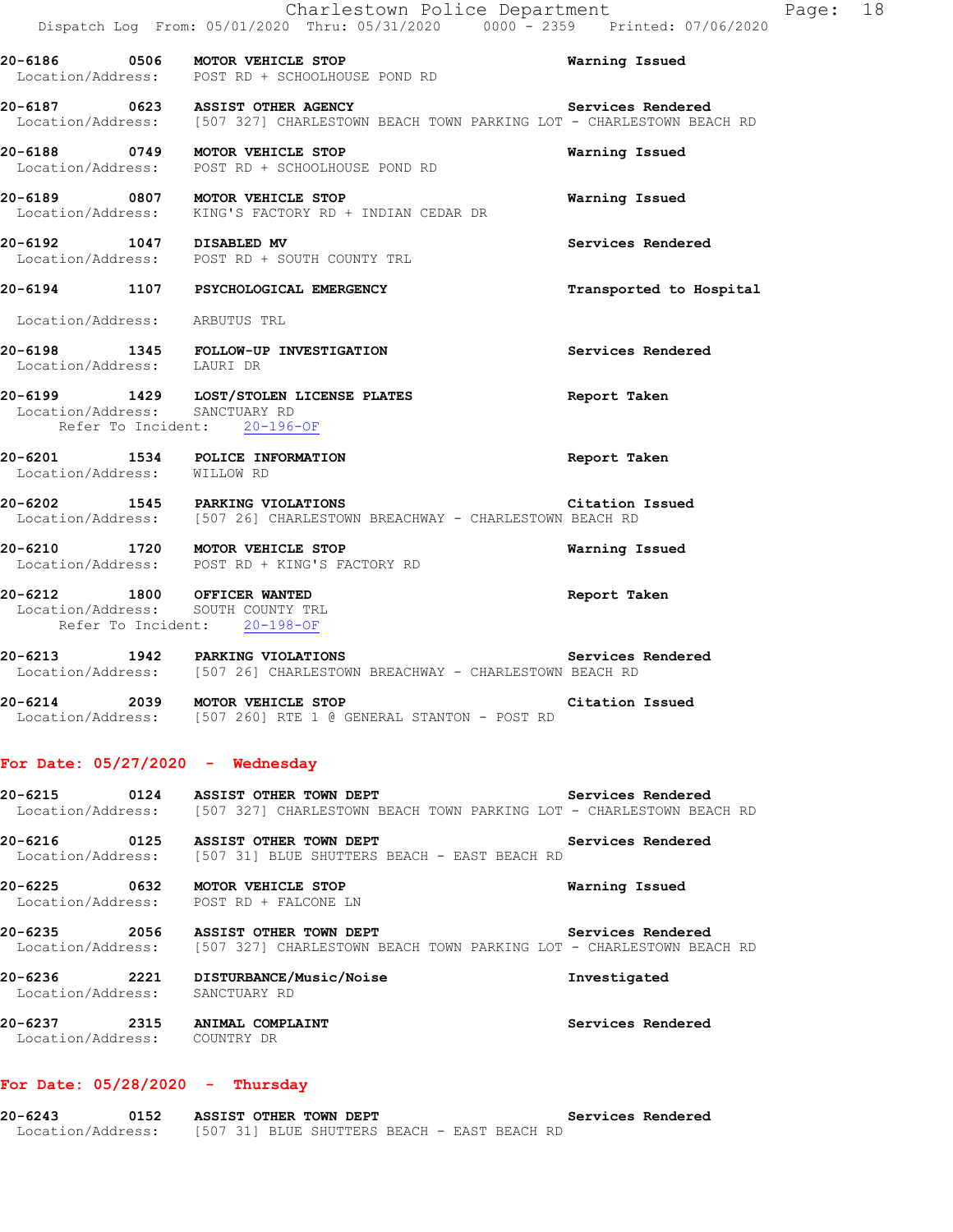|                                                                                                   | Charlestown Police Department<br>Dispatch Log From: 05/01/2020 Thru: 05/31/2020 0000 - 2359 Printed: 07/06/2020                             |                         |
|---------------------------------------------------------------------------------------------------|---------------------------------------------------------------------------------------------------------------------------------------------|-------------------------|
|                                                                                                   | 20-6186 0506 MOTOR VEHICLE STOP<br>Location/Address: POST RD + SCHOOLHOUSE POND RD                                                          | <b>Warning Issued</b>   |
|                                                                                                   | 20-6187 0623 ASSIST OTHER AGENCY Services Rendered<br>Location/Address: [507 327] CHARLESTOWN BEACH TOWN PARKING LOT - CHARLESTOWN BEACH RD |                         |
|                                                                                                   | 20-6188 0749 MOTOR VEHICLE STOP<br>Location/Address: POST RD + SCHOOLHOUSE POND RD                                                          | Warning Issued          |
|                                                                                                   | 20-6189 0807 MOTOR VEHICLE STOP<br>Location/Address: KING'S FACTORY RD + INDIAN CEDAR DR                                                    | Warning Issued          |
| 20-6192 1047 DISABLED MV                                                                          | Location/Address: POST RD + SOUTH COUNTY TRL                                                                                                | Services Rendered       |
|                                                                                                   | 20-6194 1107 PSYCHOLOGICAL EMERGENCY                                                                                                        | Transported to Hospital |
| Location/Address: ARBUTUS TRL                                                                     |                                                                                                                                             |                         |
|                                                                                                   | 20-6198 1345 FOLLOW-UP INVESTIGATION<br>Location/Address: LAURI DR                                                                          | Services Rendered       |
| Refer To Incident: 20-196-OF                                                                      | 20-6199 1429 LOST/STOLEN LICENSE PLATES<br>Location/Address: SANCTUARY RD                                                                   | Report Taken            |
| 20-6201 1534 POLICE INFORMATION<br>Location/Address: WILLOW RD                                    |                                                                                                                                             | Report Taken            |
| 20-6202 1545 PARKING VIOLATIONS                                                                   | Location/Address: [507 26] CHARLESTOWN BREACHWAY - CHARLESTOWN BEACH RD                                                                     | Citation Issued         |
|                                                                                                   | 20-6210 1720 MOTOR VEHICLE STOP<br>Location/Address: POST RD + KING'S FACTORY RD                                                            | Warning Issued          |
| 20-6212 1800 OFFICER WANTED<br>Location/Address: SOUTH COUNTY TRL<br>Refer To Incident: 20-198-OF |                                                                                                                                             | Report Taken            |
|                                                                                                   | 20-6213 1942 PARKING VIOLATIONS Services<br>Location/Address: [507 26] CHARLESTOWN BREACHWAY - CHARLESTOWN BEACH RD                         | Services Rendered       |
| 20-6214 2039 MOTOR VEHICLE STOP                                                                   | Location/Address: [507 260] RTE 1 @ GENERAL STANTON - POST RD                                                                               | Citation Issued         |
| For Date: 05/27/2020 - Wednesday                                                                  |                                                                                                                                             |                         |
|                                                                                                   | Location/Address: [507 327] CHARLESTOWN BEACH TOWN PARKING LOT - CHARLESTOWN BEACH RD                                                       | Services Rendered       |
|                                                                                                   | 20-6216  0125  ASSIST OTHER TOWN DEPT<br>Location/Address: [507 31] BLUE SHUTTERS BEACH - EAST BEACH RD                                     | Services Rendered       |
| 20-6225 0632 MOTOR VEHICLE STOP<br>Location/Address: POST RD + FALCONE LN                         |                                                                                                                                             | Warning Issued          |
|                                                                                                   | 20-6235 2056 ASSIST OTHER TOWN DEPT<br>Location/Address: [507 327] CHARLESTOWN BEACH TOWN PARKING LOT - CHARLESTOWN BEACH RD                | Services Rendered       |
| Location/Address: SANCTUARY RD                                                                    | 20-6236 2221 DISTURBANCE/Music/Noise                                                                                                        | Investigated            |
| 20-6237 2315 ANIMAL COMPLAINT<br>Location/Address: COUNTRY DR                                     |                                                                                                                                             | Services Rendered       |
| For Date: $05/28/2020 -$ Thursday                                                                 |                                                                                                                                             |                         |
| 20-6243                                                                                           | 0152 ASSIST OTHER TOWN DEPT                                                                                                                 | Services Rendered       |

Location/Address: [507 31] BLUE SHUTTERS BEACH - EAST BEACH RD

Page: 18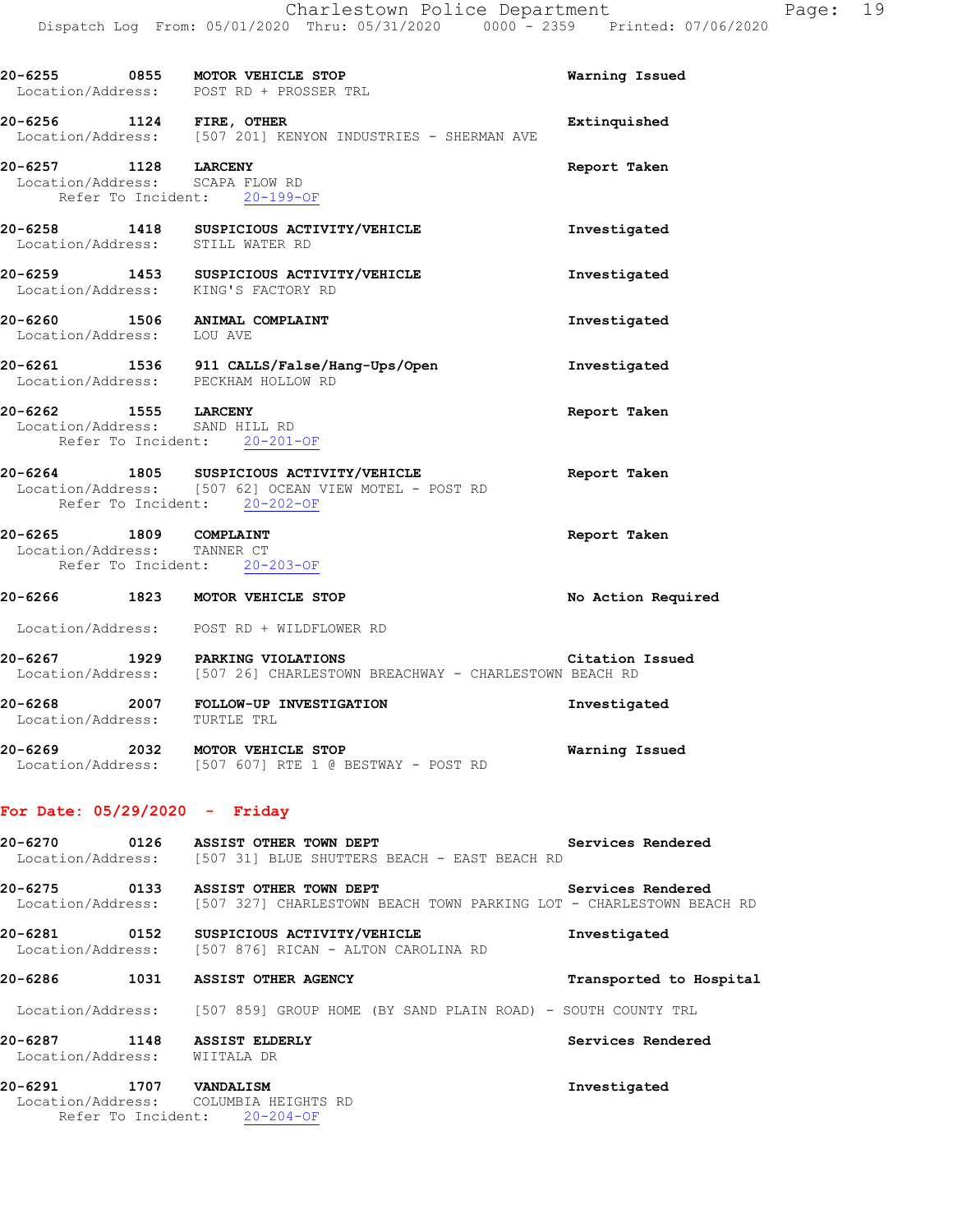|                                                             | 20-6255 0855 MOTOR VEHICLE STOP<br>Location/Address: POST RD + PROSSER TRL                                                        | Warning Issued          |
|-------------------------------------------------------------|-----------------------------------------------------------------------------------------------------------------------------------|-------------------------|
| 20-6256 1124 FIRE, OTHER                                    | Location/Address: [507 201] KENYON INDUSTRIES - SHERMAN AVE                                                                       | Extinquished            |
| 20-6257 1128 LARCENY<br>Location/Address: SCAPA FLOW RD     | Refer To Incident: 20-199-OF                                                                                                      | Report Taken            |
|                                                             | 20-6258 1418 SUSPICIOUS ACTIVITY/VEHICLE<br>Location/Address: STILL WATER RD                                                      | Investigated            |
|                                                             | 20-6259 1453 SUSPICIOUS ACTIVITY/VEHICLE<br>Location/Address: KING'S FACTORY RD                                                   | Investigated            |
| Location/Address: LOU AVE                                   | 20-6260 1506 ANIMAL COMPLAINT                                                                                                     | Investigated            |
|                                                             | 20-6261 1536 911 CALLS/False/Hang-Ups/Open<br>Location/Address: PECKHAM HOLLOW RD                                                 | Investigated            |
| 20-6262 1555 LARCENY<br>Location/Address: SAND HILL RD      | Refer To Incident: 20-201-OF                                                                                                      | Report Taken            |
|                                                             | 20-6264 1805 SUSPICIOUS ACTIVITY/VEHICLE<br>Location/Address: [507 62] OCEAN VIEW MOTEL - POST RD<br>Refer To Incident: 20-202-OF | Report Taken            |
| 20-6265 1809 COMPLAINT<br>Location/Address: TANNER CT       | Refer To Incident: 20-203-OF                                                                                                      | Report Taken            |
|                                                             | 20-6266 1823 MOTOR VEHICLE STOP                                                                                                   | No Action Required      |
|                                                             | Location/Address: POST RD + WILDFLOWER RD                                                                                         |                         |
|                                                             | 20-6267 1929 PARKING VIOLATIONS Citation<br>Location/Address: [507 26] CHARLESTOWN BREACHWAY - CHARLESTOWN BEACH RD               | Citation Issued         |
| Location/Address: TURTLE TRL                                | 20-6268 2007 FOLLOW-UP INVESTIGATION                                                                                              | Investigated            |
|                                                             | 20-6269 2032 MOTOR VEHICLE STOP<br>Location/Address: [507 607] RTE 1 @ BESTWAY - POST RD                                          | Warning Issued          |
| For Date: $05/29/2020 -$ Friday                             |                                                                                                                                   |                         |
|                                                             | 20-6270 0126 ASSIST OTHER TOWN DEPT<br>Location/Address: [507 31] BLUE SHUTTERS BEACH - EAST BEACH RD                             | Services Rendered       |
|                                                             | 20-6275 0133 ASSIST OTHER TOWN DEPT<br>Location/Address: [507 327] CHARLESTOWN BEACH TOWN PARKING LOT - CHARLESTOWN BEACH RD      | Services Rendered       |
|                                                             | 20-6281 0152 SUSPICIOUS ACTIVITY/VEHICLE<br>Location/Address: [507 876] RICAN - ALTON CAROLINA RD                                 | Investigated            |
|                                                             | 20-6286 1031 ASSIST OTHER AGENCY                                                                                                  | Transported to Hospital |
|                                                             | Location/Address: [507 859] GROUP HOME (BY SAND PLAIN ROAD) - SOUTH COUNTY TRL                                                    |                         |
| 20-6287 1148 ASSIST ELDERLY<br>Location/Address: WIITALA DR |                                                                                                                                   | Services Rendered       |
| 20-6291 1707 VANDALISM                                      | Location/Address: COLUMBIA HEIGHTS RD                                                                                             | Investigated            |

Refer To Incident: 20-204-OF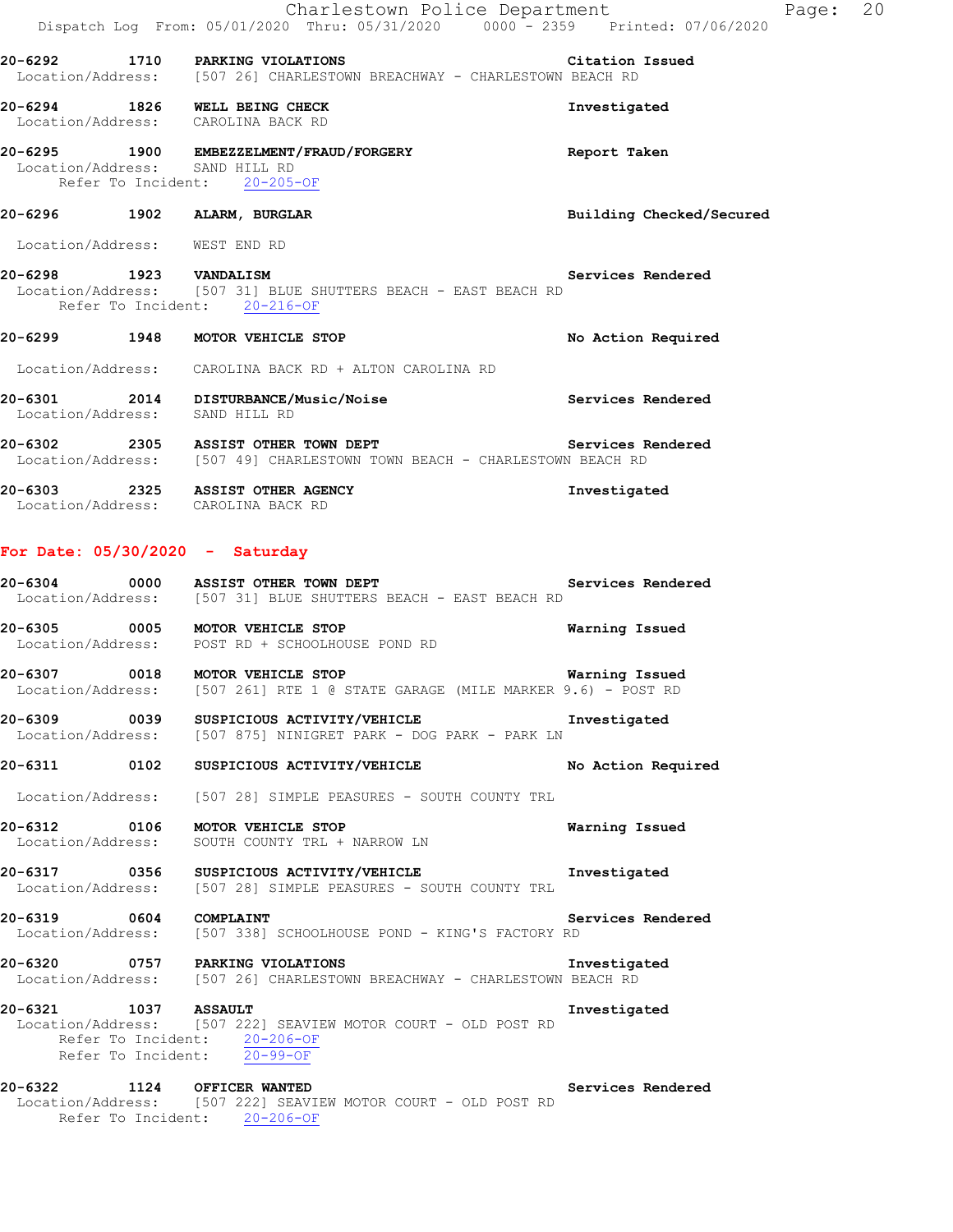|                        |                   | Charlestown Police Department                                                                                                             |                |                          |
|------------------------|-------------------|-------------------------------------------------------------------------------------------------------------------------------------------|----------------|--------------------------|
|                        |                   | Dispatch Log From: 05/01/2020 Thru: 05/31/2020 0000 - 2359 Printed: 07/06/2020                                                            |                |                          |
|                        |                   | 20-6292 1710 PARKING VIOLATIONS Citation<br>Location/Address: [507 26] CHARLESTOWN BREACHWAY - CHARLESTOWN BEACH RD<br>Citation Issued    |                |                          |
|                        |                   | 20-6294 1826 WELL BEING CHECK<br>Location/Address: CAROLINA BACK RD                                                                       | Investigated   |                          |
|                        |                   | 20-6295 1900 EMBEZZELMENT/FRAUD/FORGERY The Report Taken<br>Location/Address: SAND HILL RD<br>Refer To Incident: 20-205-OF                |                |                          |
|                        |                   | 20-6296 1902 ALARM, BURGLAR                                                                                                               |                | Building Checked/Secured |
|                        |                   | Location/Address: WEST END RD                                                                                                             |                |                          |
|                        |                   | Refer To Incident: 20-216-OF                                                                                                              |                | Services Rendered        |
|                        |                   | 20-6299 1948 MOTOR VEHICLE STOP                                                                                                           |                | No Action Required       |
|                        |                   | Location/Address: CAROLINA BACK RD + ALTON CAROLINA RD                                                                                    |                |                          |
|                        |                   | 20-6301 2014 DISTURBANCE/Music/Noise Services Rendered<br>Location/Address: SAND HILL RD                                                  |                |                          |
|                        |                   | 20-6302 2305 ASSIST OTHER TOWN DEPT<br>Location/Address: [507 49] CHARLESTOWN TOWN BEACH - CHARLESTOWN BEACH RD                           |                |                          |
|                        |                   | 20-6303 2325 ASSIST OTHER AGENCY<br>Location/Address: CAROLINA BACK RD                                                                    | Investigated   |                          |
|                        |                   | For Date: $05/30/2020 - Saturday$                                                                                                         |                |                          |
|                        |                   | 20-6304 0000 ASSIST OTHER TOWN DEPT Services Rendered<br>Location/Address: [507 31] BLUE SHUTTERS BEACH - EAST BEACH RD                   |                |                          |
|                        |                   | 20-6305 0005 MOTOR VEHICLE STOP<br>Location/Address: POST RD + SCHOOLHOUSE POND RD                                                        | Warning Issued |                          |
|                        |                   | 20-6307 0018 MOTOR VEHICLE STOP<br>Location/Address: [507 261] RTE 1 @ STATE GARAGE (MILE MARKER 9.6) - POST RD                           | Warning Issued |                          |
|                        |                   | 20-6309 0039 SUSPICIOUS ACTIVITY/VEHICLE<br>Location/Address: [507 875] NINIGRET PARK - DOG PARK - PARK LN                                | Investigated   |                          |
|                        |                   |                                                                                                                                           |                | No Action Required       |
|                        |                   | Location/Address: [507 28] SIMPLE PEASURES - SOUTH COUNTY TRL                                                                             |                |                          |
|                        | Location/Address: | 20-6312 0106 MOTOR VEHICLE STOP<br>SOUTH COUNTY TRL + NARROW LN                                                                           | Warning Issued |                          |
|                        |                   | 20-6317 0356 SUSPICIOUS ACTIVITY/VEHICLE<br>Location/Address: [507 28] SIMPLE PEASURES - SOUTH COUNTY TRL                                 | Investigated   |                          |
| 20-6319 0604 COMPLAINT |                   | Location/Address: [507 338] SCHOOLHOUSE POND - KING'S FACTORY RD                                                                          |                | Services Rendered        |
|                        |                   | 20-6320 0757 PARKING VIOLATIONS<br>Location/Address: [507 26] CHARLESTOWN BREACHWAY - CHARLESTOWN BEACH RD                                | Investigated   |                          |
| 20-6321 1037 ASSAULT   |                   | Location/Address: [507 222] SEAVIEW MOTOR COURT - OLD POST RD<br>Refer To Incident: 20-206-OF<br>Refer To Incident: $\overline{20-99-OF}$ | Investigated   |                          |
|                        |                   | 20-6322 1124 OFFICER WANTED<br>Location/Address: [507 222] SEAVIEW MOTOR COURT - OLD POST RD                                              |                | Services Rendered        |

Refer To Incident: 20-206-OF

Page: 20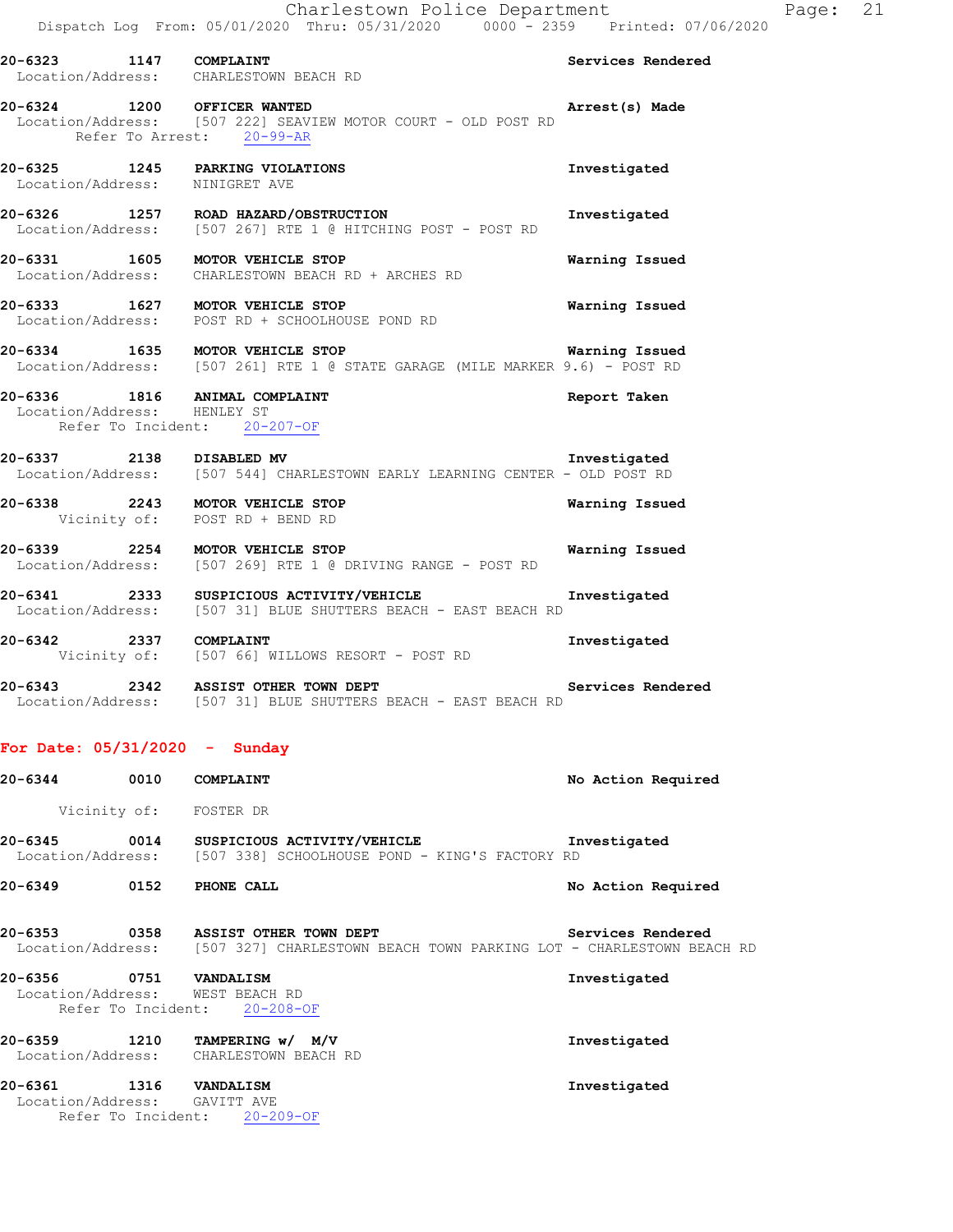# Location/Address: CHARLESTOWN BEACH RD **20-6324 1200 OFFICER WANTED Arrest(s) Made**  Location/Address: [507 222] SEAVIEW MOTOR COURT - OLD POST RD Refer To Arrest: 20-99-AR

**20-6325 1245 PARKING VIOLATIONS Investigated**  Location/Address: NINIGRET AVE **20-6326 1257 ROAD HAZARD/OBSTRUCTION Investigated**  Location/Address: [507 267] RTE 1 @ HITCHING POST - POST RD **20-6331 1605 MOTOR VEHICLE STOP Warning Issued**  Location/Address: CHARLESTOWN BEACH RD + ARCHES RD

**20-6333 1627 MOTOR VEHICLE STOP Warning Issued**  Location/Address: POST RD + SCHOOLHOUSE POND RD

**20-6334 1635 MOTOR VEHICLE STOP Warning Issued**  Location/Address: [507 261] RTE 1 @ STATE GARAGE (MILE MARKER 9.6) - POST RD

# **20-6336 1816 ANIMAL COMPLAINT Report Taken**  Location/Address: HENLEY ST Refer To Incident: 20-207-OF

- **20-6337 2138 DISABLED MV Investigated Investigated**<br>Location/Address: [507 544] CHARLESTOWN EARLY LEARNING CENTER OLD POST RD [507 544] CHARLESTOWN EARLY LEARNING CENTER - OLD POST RD
- **20-6338 2243 MOTOR VEHICLE STOP Warning Issued**  Vicinity of: POST RD + BEND RD
- **20-6339 2254 MOTOR VEHICLE STOP Warning Issued**  Location/Address: [507 269] RTE 1 @ DRIVING RANGE - POST RD
- **20-6341 2333 SUSPICIOUS ACTIVITY/VEHICLE Investigated**  Location/Address: [507 31] BLUE SHUTTERS BEACH - EAST BEACH RD
- **20-6342 2337 COMPLAINT Investigated Vicinity of:** [507 66] WILLOWS RESORT POST RD [507 66] WILLOWS RESORT - POST RD
- **20-6343 2342 ASSIST OTHER TOWN DEPT Services Rendered**  Location/Address: [507 31] BLUE SHUTTERS BEACH - EAST BEACH RD

# **For Date: 05/31/2020 - Sunday**

| 20-6344                      | 0010         | COMPLAINT                                                                                     | No Action Required |
|------------------------------|--------------|-----------------------------------------------------------------------------------------------|--------------------|
|                              | Vicinity of: | FOSTER DR                                                                                     |                    |
| 20-6345<br>Location/Address: | 0014         | SUSPICIOUS ACTIVITY/VEHICLE<br>[507 338] SCHOOLHOUSE POND - KING'S FACTORY RD                 | Investigated       |
| 20-6349                      | 0152         | PHONE CALL                                                                                    | No Action Required |
| 20-6353<br>Location/Address: | 0358         | ASSIST OTHER TOWN DEPT<br>[507 327] CHARLESTOWN BEACH TOWN PARKING LOT - CHARLESTOWN BEACH RD | Services Rendered  |
| 20-6356                      | 0751         | <b>VANDALISM</b>                                                                              | Investigated       |

## Location/Address: WEST BEACH RD Refer To Incident: 20-208-OF

**20-6359 1210 TAMPERING w/ M/V Investigated**  Location/Address: CHARLESTOWN BEACH RD

# **20-6361 1316 VANDALISM Investigated**  Location/Address: GAVITT AVE Refer To Incident: 20-209-OF